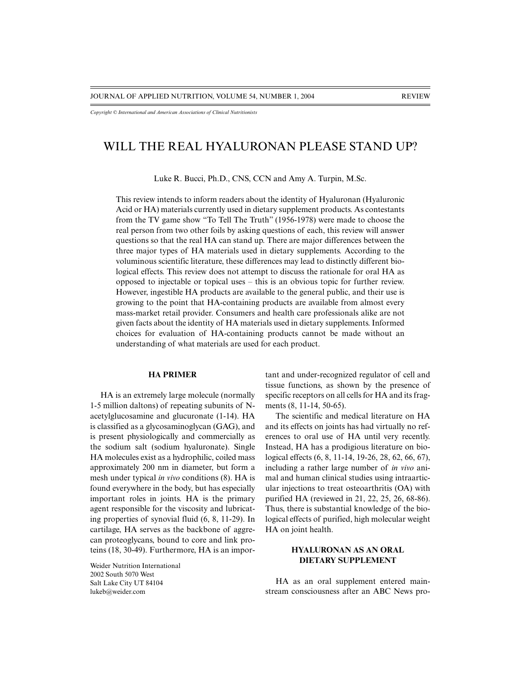*Copyright © International and American Associations of Clinical Nutritionists*

# WILL THE REAL HYALURONAN PLEASE STAND UP?

Luke R. Bucci, Ph.D., CNS, CCN and Amy A. Turpin, M.Sc.

This review intends to inform readers about the identity of Hyaluronan (Hyaluronic Acid or HA) materials currently used in dietary supplement products. As contestants from the TV game show "To Tell The Truth" (1956-1978) were made to choose the real person from two other foils by asking questions of each, this review will answer questions so that the real HA can stand up. There are major differences between the three major types of HA materials used in dietary supplements. According to the voluminous scientific literature, these differences may lead to distinctly different biological effects. This review does not attempt to discuss the rationale for oral HA as opposed to injectable or topical uses – this is an obvious topic for further review. However, ingestible HA products are available to the general public, and their use is growing to the point that HA-containing products are available from almost every mass-market retail provider. Consumers and health care professionals alike are not given facts about the identity of HA materials used in dietary supplements. Informed choices for evaluation of HA-containing products cannot be made without an understanding of what materials are used for each product.

### **HA PRIMER**

HA is an extremely large molecule (normally 1-5 million daltons) of repeating subunits of Nacetylglucosamine and glucuronate (1-14). HA is classified as a glycosaminoglycan (GAG), and is present physiologically and commercially as the sodium salt (sodium hyaluronate). Single HA molecules exist as a hydrophilic, coiled mass approximately 200 nm in diameter, but form a mesh under typical *in vivo* conditions (8). HA is found everywhere in the body, but has especially important roles in joints. HA is the primary agent responsible for the viscosity and lubricating properties of synovial fluid (6, 8, 11-29). In cartilage, HA serves as the backbone of aggrecan proteoglycans, bound to core and link proteins (18, 30-49). Furthermore, HA is an impor-

Weider Nutrition International 2002 South 5070 West Salt Lake City UT 84104 lukeb@weider.com

tant and under-recognized regulator of cell and tissue functions, as shown by the presence of specific receptors on all cells for HA and its fragments (8, 11-14, 50-65).

The scientific and medical literature on HA and its effects on joints has had virtually no references to oral use of HA until very recently. Instead, HA has a prodigious literature on biological effects (6, 8, 11-14, 19-26, 28, 62, 66, 67), including a rather large number of *in vivo* animal and human clinical studies using intraarticular injections to treat osteoarthritis (OA) with purified HA (reviewed in 21, 22, 25, 26, 68-86). Thus, there is substantial knowledge of the biological effects of purified, high molecular weight HA on joint health.

### **HYALURONAN AS AN ORAL DIETARY SUPPLEMENT**

HA as an oral supplement entered mainstream consciousness after an ABC News pro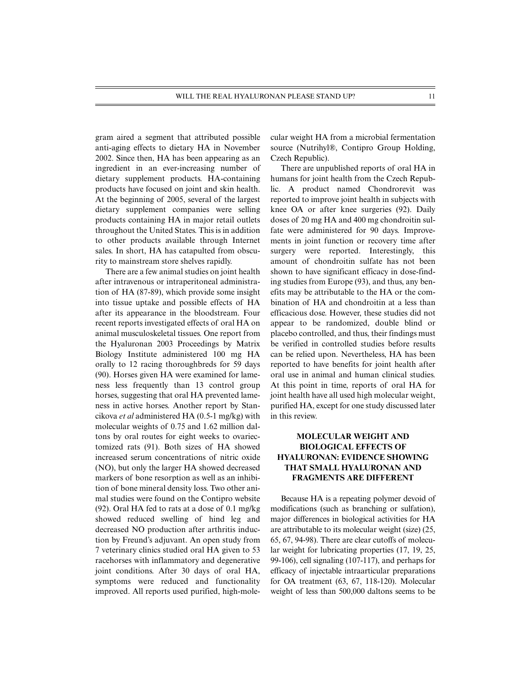gram aired a segment that attributed possible anti-aging effects to dietary HA in November 2002. Since then, HA has been appearing as an ingredient in an ever-increasing number of dietary supplement products. HA-containing products have focused on joint and skin health. At the beginning of 2005, several of the largest dietary supplement companies were selling products containing HA in major retail outlets throughout the United States. This is in addition to other products available through Internet sales. In short, HA has catapulted from obscurity to mainstream store shelves rapidly.

There are a few animal studies on joint health after intravenous or intraperitoneal administration of HA (87-89), which provide some insight into tissue uptake and possible effects of HA after its appearance in the bloodstream. Four recent reports investigated effects of oral HA on animal musculoskeletal tissues. One report from the Hyaluronan 2003 Proceedings by Matrix Biology Institute administered 100 mg HA orally to 12 racing thoroughbreds for 59 days (90). Horses given HA were examined for lameness less frequently than 13 control group horses, suggesting that oral HA prevented lameness in active horses. Another report by Stancikova *et al* administered HA (0.5-1 mg/kg) with molecular weights of 0.75 and 1.62 million daltons by oral routes for eight weeks to ovariectomized rats (91). Both sizes of HA showed increased serum concentrations of nitric oxide (NO), but only the larger HA showed decreased markers of bone resorption as well as an inhibition of bone mineral density loss. Two other animal studies were found on the Contipro website (92). Oral HA fed to rats at a dose of 0.1 mg/kg showed reduced swelling of hind leg and decreased NO production after arthritis induction by Freund's adjuvant. An open study from 7 veterinary clinics studied oral HA given to 53 racehorses with inflammatory and degenerative joint conditions. After 30 days of oral HA, symptoms were reduced and functionality improved. All reports used purified, high-molecular weight HA from a microbial fermentation source (Nutrihyl®, Contipro Group Holding, Czech Republic).

There are unpublished reports of oral HA in humans for joint health from the Czech Republic. A product named Chondrorevit was reported to improve joint health in subjects with knee OA or after knee surgeries (92). Daily doses of 20 mg HA and 400 mg chondroitin sulfate were administered for 90 days. Improvements in joint function or recovery time after surgery were reported. Interestingly, this amount of chondroitin sulfate has not been shown to have significant efficacy in dose-finding studies from Europe (93), and thus, any benefits may be attributable to the HA or the combination of HA and chondroitin at a less than efficacious dose. However, these studies did not appear to be randomized, double blind or placebo controlled, and thus, their findings must be verified in controlled studies before results can be relied upon. Nevertheless, HA has been reported to have benefits for joint health after oral use in animal and human clinical studies. At this point in time, reports of oral HA for joint health have all used high molecular weight, purified HA, except for one study discussed later in this review.

## **MOLECULAR WEIGHT AND BIOLOGICAL EFFECTS OF HYALURONAN: EVIDENCE SHOWING THAT SMALL HYALURONAN AND FRAGMENTS ARE DIFFERENT**

Because HA is a repeating polymer devoid of modifications (such as branching or sulfation), major differences in biological activities for HA are attributable to its molecular weight (size) (25, 65, 67, 94-98). There are clear cutoffs of molecular weight for lubricating properties (17, 19, 25, 99-106), cell signaling (107-117), and perhaps for efficacy of injectable intraarticular preparations for OA treatment (63, 67, 118-120). Molecular weight of less than 500,000 daltons seems to be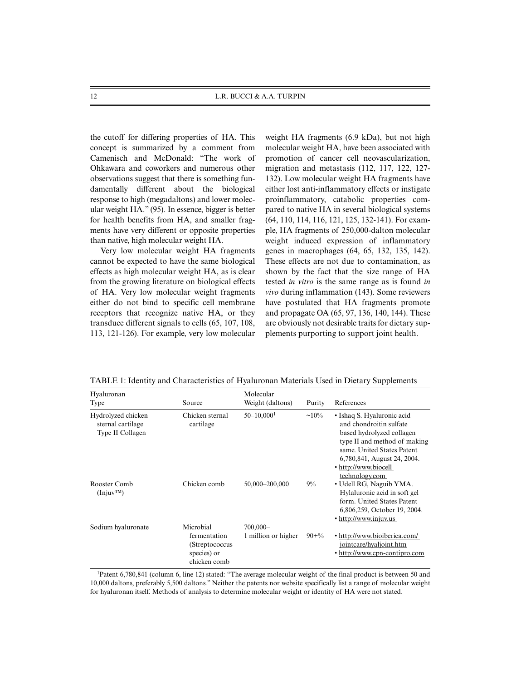the cutoff for differing properties of HA. This concept is summarized by a comment from Camenisch and McDonald: "The work of Ohkawara and coworkers and numerous other observations suggest that there is something fundamentally different about the biological response to high (megadaltons) and lower molecular weight HA." (95). In essence, bigger is better for health benefits from HA, and smaller fragments have very different or opposite properties than native, high molecular weight HA.

Very low molecular weight HA fragments cannot be expected to have the same biological effects as high molecular weight HA, as is clear from the growing literature on biological effects of HA. Very low molecular weight fragments either do not bind to specific cell membrane receptors that recognize native HA, or they transduce different signals to cells (65, 107, 108, 113, 121-126). For example, very low molecular weight HA fragments (6.9 kDa), but not high molecular weight HA, have been associated with promotion of cancer cell neovascularization, migration and metastasis (112, 117, 122, 127- 132). Low molecular weight HA fragments have either lost anti-inflammatory effects or instigate proinflammatory, catabolic properties compared to native HA in several biological systems (64, 110, 114, 116, 121, 125, 132-141). For example, HA fragments of 250,000-dalton molecular weight induced expression of inflammatory genes in macrophages (64, 65, 132, 135, 142). These effects are not due to contamination, as shown by the fact that the size range of HA tested *in vitro* is the same range as is found *in vivo* during inflammation (143). Some reviewers have postulated that HA fragments promote and propagate OA (65, 97, 136, 140, 144). These are obviously not desirable traits for dietary supplements purporting to support joint health.

| Hyaluronan<br>Type                                          | Source                                                                     | Molecular<br>Weight (daltons)     | Purity    | References                                                                                                                                                                                                                |
|-------------------------------------------------------------|----------------------------------------------------------------------------|-----------------------------------|-----------|---------------------------------------------------------------------------------------------------------------------------------------------------------------------------------------------------------------------------|
| Hydrolyzed chicken<br>sternal cartilage<br>Type II Collagen | Chicken sternal<br>cartilage                                               | $50 - 10,000$ <sup>1</sup>        | $~10\%$   | • Ishaq S. Hyaluronic acid<br>and chondroitin sulfate<br>based hydrolyzed collagen<br>type II and method of making<br>same. United States Patent<br>6,780,841, August 24, 2004.<br>• http://www.biocell<br>technology.com |
| Rooster Comb<br>$(\text{Injuv}^{\text{TM}})$                | Chicken comb                                                               | 50,000-200,000                    | 9%        | • Udell RG, Naguib YMA.<br>Hylaluronic acid in soft gel<br>form. United States Patent<br>6,806,259, October 19, 2004.<br>• http://www.injuv.us                                                                            |
| Sodium hyaluronate                                          | Microbial<br>fermentation<br>(Streptococcus<br>species) or<br>chicken comb | $700,000-$<br>1 million or higher | $90 + \%$ | • http://www.bioiberica.com/<br>jointcare/hyaljoint.htm<br>• http://www.cpn-contipro.com                                                                                                                                  |

TABLE 1: Identity and Characteristics of Hyaluronan Materials Used in Dietary Supplements

1Patent 6,780,841 (column 6, line 12) stated: "The average molecular weight of the final product is between 50 and 10,000 daltons, preferably 5,500 daltons." Neither the patents nor website specifically list a range of molecular weight for hyaluronan itself. Methods of analysis to determine molecular weight or identity of HA were not stated.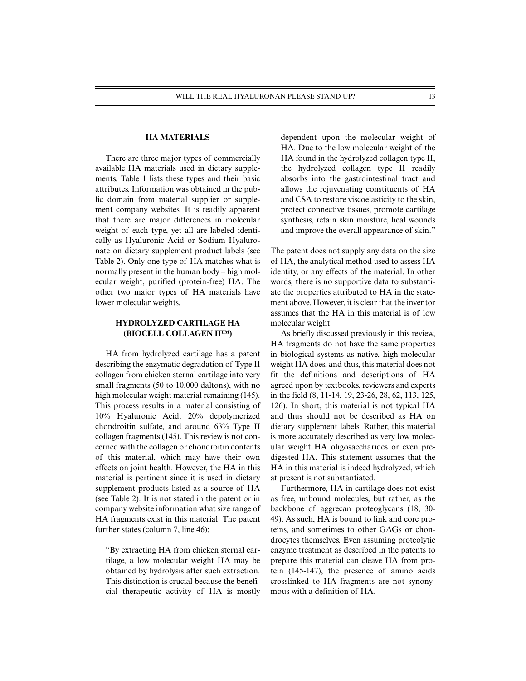### **HA MATERIALS**

There are three major types of commercially available HA materials used in dietary supplements. Table 1 lists these types and their basic attributes. Information was obtained in the public domain from material supplier or supplement company websites. It is readily apparent that there are major differences in molecular weight of each type, yet all are labeled identically as Hyaluronic Acid or Sodium Hyaluronate on dietary supplement product labels (see Table 2). Only one type of HA matches what is normally present in the human body – high molecular weight, purified (protein-free) HA. The other two major types of HA materials have lower molecular weights.

### **HYDROLYZED CARTILAGE HA (BIOCELL COLLAGEN II™)**

HA from hydrolyzed cartilage has a patent describing the enzymatic degradation of Type II collagen from chicken sternal cartilage into very small fragments (50 to 10,000 daltons), with no high molecular weight material remaining (145). This process results in a material consisting of 10% Hyaluronic Acid, 20% depolymerized chondroitin sulfate, and around 63% Type II collagen fragments (145). This review is not concerned with the collagen or chondroitin contents of this material, which may have their own effects on joint health. However, the HA in this material is pertinent since it is used in dietary supplement products listed as a source of HA (see Table 2). It is not stated in the patent or in company website information what size range of HA fragments exist in this material. The patent further states (column 7, line 46):

"By extracting HA from chicken sternal cartilage, a low molecular weight HA may be obtained by hydrolysis after such extraction. This distinction is crucial because the beneficial therapeutic activity of HA is mostly dependent upon the molecular weight of HA. Due to the low molecular weight of the HA found in the hydrolyzed collagen type II, the hydrolyzed collagen type II readily absorbs into the gastrointestinal tract and allows the rejuvenating constituents of HA and CSA to restore viscoelasticity to the skin, protect connective tissues, promote cartilage synthesis, retain skin moisture, heal wounds and improve the overall appearance of skin."

The patent does not supply any data on the size of HA, the analytical method used to assess HA identity, or any effects of the material. In other words, there is no supportive data to substantiate the properties attributed to HA in the statement above. However, it is clear that the inventor assumes that the HA in this material is of low molecular weight.

As briefly discussed previously in this review, HA fragments do not have the same properties in biological systems as native, high-molecular weight HA does, and thus, this material does not fit the definitions and descriptions of HA agreed upon by textbooks, reviewers and experts in the field (8, 11-14, 19, 23-26, 28, 62, 113, 125, 126). In short, this material is not typical HA and thus should not be described as HA on dietary supplement labels. Rather, this material is more accurately described as very low molecular weight HA oligosaccharides or even predigested HA. This statement assumes that the HA in this material is indeed hydrolyzed, which at present is not substantiated.

Furthermore, HA in cartilage does not exist as free, unbound molecules, but rather, as the backbone of aggrecan proteoglycans (18, 30- 49). As such, HA is bound to link and core proteins, and sometimes to other GAGs or chondrocytes themselves. Even assuming proteolytic enzyme treatment as described in the patents to prepare this material can cleave HA from protein (145-147), the presence of amino acids crosslinked to HA fragments are not synonymous with a definition of HA.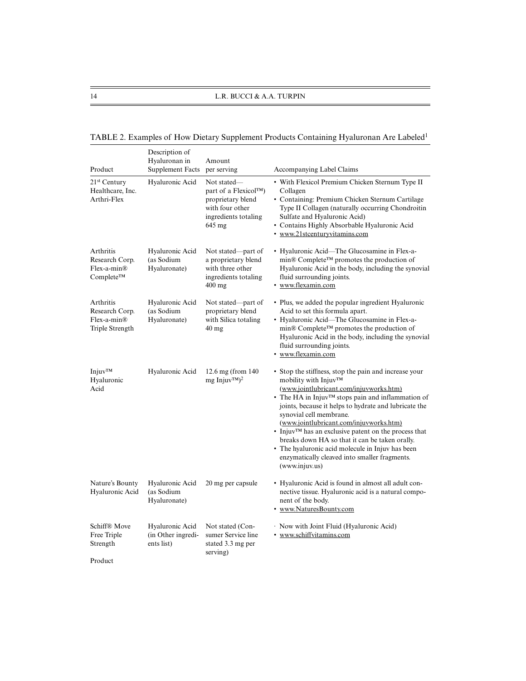| Product                                                         | Description of<br>Hyaluronan in<br>Supplement Facts | Amount<br>per serving                                                                                                   | Accompanying Label Claims                                                                                                                                                                                                                                                            |
|-----------------------------------------------------------------|-----------------------------------------------------|-------------------------------------------------------------------------------------------------------------------------|--------------------------------------------------------------------------------------------------------------------------------------------------------------------------------------------------------------------------------------------------------------------------------------|
| $21st$ Century<br>Healthcare, Inc.<br>Arthri-Flex               | Hyaluronic Acid                                     | Not stated—<br>part of a Flexicol™)<br>proprietary blend<br>with four other<br>ingredients totaling<br>$645 \text{ mg}$ | • With Flexicol Premium Chicken Sternum Type II<br>Collagen<br>• Containing: Premium Chicken Sternum Cartilage<br>Type II Collagen (naturally occurring Chondroitin<br>Sulfate and Hyaluronic Acid)<br>• Contains Highly Absorbable Hyaluronic Acid<br>• www.21stcenturyvitamins.com |
| Arthritis<br>Research Corp.<br>$Flex-a-min®$<br>Complete™       | Hyaluronic Acid<br>(as Sodium<br>Hyaluronate)       | Not stated—part of<br>a proprietary blend<br>with three other<br>ingredients totaling<br>$400 \text{ mg}$               | • Hyaluronic Acid—The Glucosamine in Flex-a-<br>min® Complete™ promotes the production of<br>Hyaluronic Acid in the body, including the synovial<br>fluid surrounding joints.<br>• www.flexamin.com                                                                                  |
| Arthritis<br>Research Corp.<br>$Flex-a-min@$<br>Triple Strength | Hyaluronic Acid<br>(as Sodium<br>Hyaluronate)       | Not stated—part of<br>proprietary blend<br>with Silica totaling<br>$40 \text{ mg}$                                      | • Plus, we added the popular ingredient Hyaluronic<br>Acid to set this formula apart.<br>• Hyaluronic Acid—The Glucosamine in Flex-a-<br>$\min$ © Complete <sup>TM</sup> promotes the production of<br>Hyaluronic Acid in the body, including the synovial                           |

| TABLE 2. Examples of How Dietary Supplement Products Containing Hyaluronan Are Labeled <sup>1</sup> |
|-----------------------------------------------------------------------------------------------------|
|-----------------------------------------------------------------------------------------------------|

|                                                    |                                                     |                                                                         | • www.flexamin.com                                                                                                                                                                                                                                                                                                                                                                                                                                                                                                                                                            |
|----------------------------------------------------|-----------------------------------------------------|-------------------------------------------------------------------------|-------------------------------------------------------------------------------------------------------------------------------------------------------------------------------------------------------------------------------------------------------------------------------------------------------------------------------------------------------------------------------------------------------------------------------------------------------------------------------------------------------------------------------------------------------------------------------|
| Injuv <sup>TM</sup><br>Hyaluronic<br>Acid          | Hyaluronic Acid                                     | 12.6 mg (from $140$<br>$mg \text{Injuv}^{TM}$ <sup>2</sup>              | • Stop the stiffness, stop the pain and increase your<br>mobility with $Injuv^{TM}$<br>(www.jointlubricant.com/injuvworks.htm)<br>• The HA in Injuv <sup>TM</sup> stops pain and inflammation of<br>joints, because it helps to hydrate and lubricate the<br>synovial cell membrane.<br>(www.jointlubricant.com/injuvworks.htm)<br>• Injuv <sup>TM</sup> has an exclusive patent on the process that<br>breaks down HA so that it can be taken orally.<br>• The hyaluronic acid molecule in Injuv has been<br>enzymatically cleaved into smaller fragments.<br>(www.injuv.us) |
| Nature's Bounty<br>Hyaluronic Acid                 | Hyaluronic Acid<br>(as Sodium<br>Hyaluronate)       | 20 mg per capsule                                                       | • Hyaluronic Acid is found in almost all adult con-<br>nective tissue. Hyaluronic acid is a natural compo-<br>nent of the body.<br>• www.NaturesBounty.com                                                                                                                                                                                                                                                                                                                                                                                                                    |
| Schiff® Move<br>Free Triple<br>Strength<br>Product | Hyaluronic Acid<br>(in Other ingredi-<br>ents list) | Not stated (Con-<br>sumer Service line<br>stated 3.3 mg per<br>serving) | · Now with Joint Fluid (Hyaluronic Acid)<br>• www.schiffvitamins.com                                                                                                                                                                                                                                                                                                                                                                                                                                                                                                          |

fluid surrounding joints.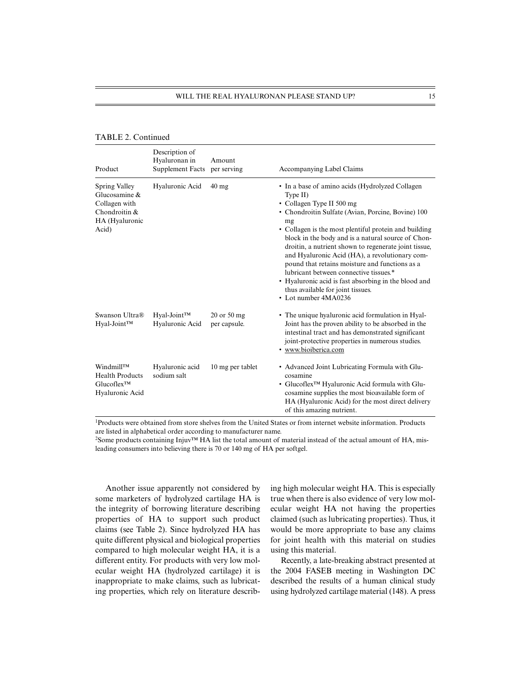### TABLE 2. Continued

| Product                                                                                        | Description of<br>Hyaluronan in<br><b>Supplement Facts</b> | Amount<br>per serving       | Accompanying Label Claims                                                                                                                                                                                                                                                                                                                                                                                                                                                                                                                                                                       |
|------------------------------------------------------------------------------------------------|------------------------------------------------------------|-----------------------------|-------------------------------------------------------------------------------------------------------------------------------------------------------------------------------------------------------------------------------------------------------------------------------------------------------------------------------------------------------------------------------------------------------------------------------------------------------------------------------------------------------------------------------------------------------------------------------------------------|
| Spring Valley<br>Glucosamine $\&$<br>Collagen with<br>Chondroitin &<br>HA (Hyaluronic<br>Acid) | Hyaluronic Acid                                            | $40$ mg                     | • In a base of amino acids (Hydrolyzed Collagen<br>Type II)<br>• Collagen Type II 500 mg<br>• Chondroitin Sulfate (Avian, Porcine, Bovine) 100<br>mg<br>• Collagen is the most plentiful protein and building<br>block in the body and is a natural source of Chon-<br>droitin, a nutrient shown to regenerate joint tissue,<br>and Hyaluronic Acid (HA), a revolutionary com-<br>pound that retains moisture and functions as a<br>lubricant between connective tissues.*<br>• Hyaluronic acid is fast absorbing in the blood and<br>thus available for joint tissues.<br>• Lot number 4MA0236 |
| Swanson Ultra®<br>Hyal-Joint™                                                                  | Hyal-Joint™<br>Hyaluronic Acid                             | 20 or 50 mg<br>per capsule. | • The unique hyaluronic acid formulation in Hyal-<br>Joint has the proven ability to be absorbed in the<br>intestinal tract and has demonstrated significant<br>joint-protective properties in numerous studies.<br>· www.bioiberica.com                                                                                                                                                                                                                                                                                                                                                        |
| Windmill <sup>TM</sup><br><b>Health Products</b><br>$Glucoflex^{TM}$<br>Hyaluronic Acid        | Hyaluronic acid<br>sodium salt                             | 10 mg per tablet            | • Advanced Joint Lubricating Formula with Glu-<br>cosamine<br>• Glucoflex <sup>TM</sup> Hyaluronic Acid formula with Glu-<br>cosamine supplies the most bioavailable form of<br>HA (Hyaluronic Acid) for the most direct delivery<br>of this amazing nutrient.                                                                                                                                                                                                                                                                                                                                  |

1Products were obtained from store shelves from the United States or from internet website information. Products are listed in alphabetical order according to manufacturer name.

<sup>2</sup>Some products containing Injuv™ HA list the total amount of material instead of the actual amount of HA, misleading consumers into believing there is 70 or 140 mg of HA per softgel.

Another issue apparently not considered by some marketers of hydrolyzed cartilage HA is the integrity of borrowing literature describing properties of HA to support such product claims (see Table 2). Since hydrolyzed HA has quite different physical and biological properties compared to high molecular weight HA, it is a different entity. For products with very low molecular weight HA (hydrolyzed cartilage) it is inappropriate to make claims, such as lubricating properties, which rely on literature describing high molecular weight HA. This is especially true when there is also evidence of very low molecular weight HA not having the properties claimed (such as lubricating properties). Thus, it would be more appropriate to base any claims for joint health with this material on studies using this material.

Recently, a late-breaking abstract presented at the 2004 FASEB meeting in Washington DC described the results of a human clinical study using hydrolyzed cartilage material (148). A press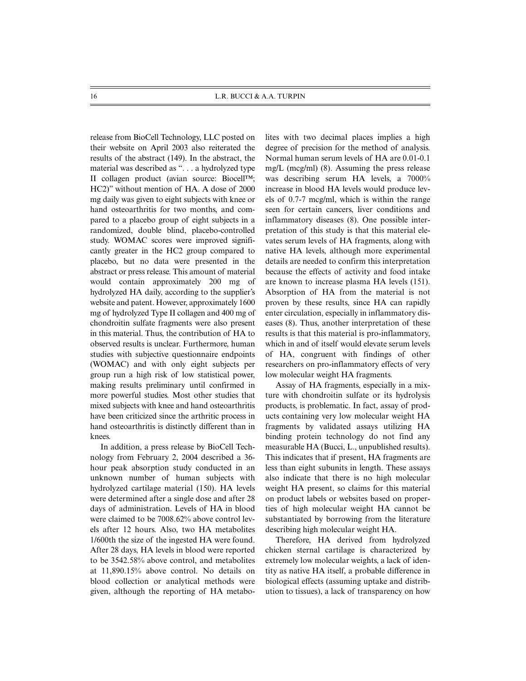release from BioCell Technology, LLC posted on their website on April 2003 also reiterated the results of the abstract (149). In the abstract, the material was described as ". . . a hydrolyzed type II collagen product (avian source: Biocell™; HC2)" without mention of HA. A dose of 2000 mg daily was given to eight subjects with knee or hand osteoarthritis for two months, and compared to a placebo group of eight subjects in a randomized, double blind, placebo-controlled study. WOMAC scores were improved significantly greater in the HC2 group compared to placebo, but no data were presented in the abstract or press release. This amount of material would contain approximately 200 mg of hydrolyzed HA daily, according to the supplier's website and patent. However, approximately 1600 mg of hydrolyzed Type II collagen and 400 mg of chondroitin sulfate fragments were also present in this material. Thus, the contribution of HA to observed results is unclear. Furthermore, human studies with subjective questionnaire endpoints (WOMAC) and with only eight subjects per group run a high risk of low statistical power, making results preliminary until confirmed in more powerful studies. Most other studies that mixed subjects with knee and hand osteoarthritis have been criticized since the arthritic process in hand osteoarthritis is distinctly different than in knees.

In addition, a press release by BioCell Technology from February 2, 2004 described a 36 hour peak absorption study conducted in an unknown number of human subjects with hydrolyzed cartilage material (150). HA levels were determined after a single dose and after 28 days of administration. Levels of HA in blood were claimed to be 7008.62% above control levels after 12 hours. Also, two HA metabolites 1/600th the size of the ingested HA were found. After 28 days, HA levels in blood were reported to be 3542.58% above control, and metabolites at 11,890.15% above control. No details on blood collection or analytical methods were given, although the reporting of HA metabolites with two decimal places implies a high degree of precision for the method of analysis. Normal human serum levels of HA are 0.01-0.1 mg/L (mcg/ml) (8). Assuming the press release was describing serum HA levels, a 7000% increase in blood HA levels would produce levels of 0.7-7 mcg/ml, which is within the range seen for certain cancers, liver conditions and inflammatory diseases (8). One possible interpretation of this study is that this material elevates serum levels of HA fragments, along with native HA levels, although more experimental details are needed to confirm this interpretation because the effects of activity and food intake are known to increase plasma HA levels (151). Absorption of HA from the material is not proven by these results, since HA can rapidly enter circulation, especially in inflammatory diseases (8). Thus, another interpretation of these results is that this material is pro-inflammatory, which in and of itself would elevate serum levels of HA, congruent with findings of other researchers on pro-inflammatory effects of very low molecular weight HA fragments.

Assay of HA fragments, especially in a mixture with chondroitin sulfate or its hydrolysis products, is problematic. In fact, assay of products containing very low molecular weight HA fragments by validated assays utilizing HA binding protein technology do not find any measurable HA (Bucci, L., unpublished results). This indicates that if present, HA fragments are less than eight subunits in length. These assays also indicate that there is no high molecular weight HA present, so claims for this material on product labels or websites based on properties of high molecular weight HA cannot be substantiated by borrowing from the literature describing high molecular weight HA.

Therefore, HA derived from hydrolyzed chicken sternal cartilage is characterized by extremely low molecular weights, a lack of identity as native HA itself, a probable difference in biological effects (assuming uptake and distribution to tissues), a lack of transparency on how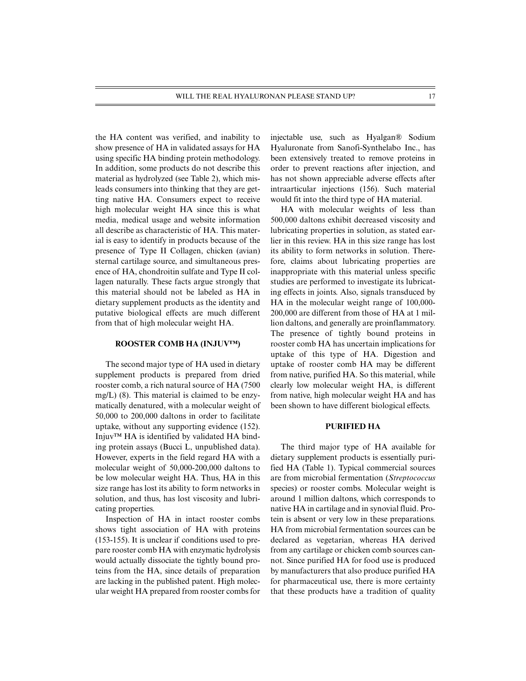the HA content was verified, and inability to show presence of HA in validated assays for HA using specific HA binding protein methodology. In addition, some products do not describe this material as hydrolyzed (see Table 2), which misleads consumers into thinking that they are getting native HA. Consumers expect to receive high molecular weight HA since this is what media, medical usage and website information all describe as characteristic of HA. This material is easy to identify in products because of the presence of Type II Collagen, chicken (avian) sternal cartilage source, and simultaneous presence of HA, chondroitin sulfate and Type II collagen naturally. These facts argue strongly that this material should not be labeled as HA in dietary supplement products as the identity and putative biological effects are much different from that of high molecular weight HA.

#### **ROOSTER COMB HA (INJUV™)**

The second major type of HA used in dietary supplement products is prepared from dried rooster comb, a rich natural source of HA (7500 mg/L) (8). This material is claimed to be enzymatically denatured, with a molecular weight of 50,000 to 200,000 daltons in order to facilitate uptake, without any supporting evidence (152). Injuv™ HA is identified by validated HA binding protein assays (Bucci L, unpublished data). However, experts in the field regard HA with a molecular weight of 50,000-200,000 daltons to be low molecular weight HA. Thus, HA in this size range has lost its ability to form networks in solution, and thus, has lost viscosity and lubricating properties.

Inspection of HA in intact rooster combs shows tight association of HA with proteins (153-155). It is unclear if conditions used to prepare rooster comb HA with enzymatic hydrolysis would actually dissociate the tightly bound proteins from the HA, since details of preparation are lacking in the published patent. High molecular weight HA prepared from rooster combs for injectable use, such as Hyalgan® Sodium Hyaluronate from Sanofi-Synthelabo Inc., has been extensively treated to remove proteins in order to prevent reactions after injection, and has not shown appreciable adverse effects after intraarticular injections (156). Such material would fit into the third type of HA material.

HA with molecular weights of less than 500,000 daltons exhibit decreased viscosity and lubricating properties in solution, as stated earlier in this review. HA in this size range has lost its ability to form networks in solution. Therefore, claims about lubricating properties are inappropriate with this material unless specific studies are performed to investigate its lubricating effects in joints. Also, signals transduced by HA in the molecular weight range of 100,000- 200,000 are different from those of HA at 1 million daltons, and generally are proinflammatory. The presence of tightly bound proteins in rooster comb HA has uncertain implications for uptake of this type of HA. Digestion and uptake of rooster comb HA may be different from native, purified HA. So this material, while clearly low molecular weight HA, is different from native, high molecular weight HA and has been shown to have different biological effects.

### **PURIFIED HA**

The third major type of HA available for dietary supplement products is essentially purified HA (Table 1). Typical commercial sources are from microbial fermentation (*Streptococcus* species) or rooster combs. Molecular weight is around 1 million daltons, which corresponds to native HA in cartilage and in synovial fluid. Protein is absent or very low in these preparations. HA from microbial fermentation sources can be declared as vegetarian, whereas HA derived from any cartilage or chicken comb sources cannot. Since purified HA for food use is produced by manufacturers that also produce purified HA for pharmaceutical use, there is more certainty that these products have a tradition of quality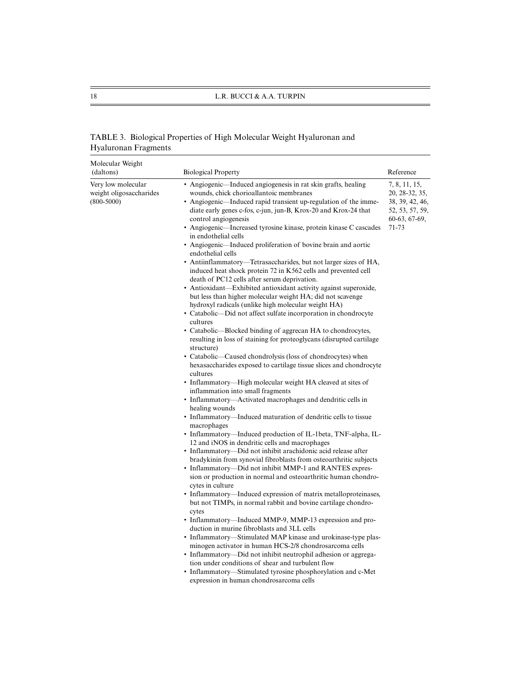## TABLE 3. Biological Properties of High Molecular Weight Hyaluronan and Hyaluronan Fragments

| Molecular Weight<br>(daltons)                                 | <b>Biological Property</b>                                                                                                                                                                                                                                                                                                                                                                                                                                                                                                                                                                                                                                                                                                                                                                                                                                                                                                                                                                                                                                                                                                                                                                                                                                                                                                                                                                                                                                                                                                                                                                                                                                                                                                                                                                                                                                                                                                                                                                                                                                                                                                                                                                                                                                                                                                                                                                                                                                                                                                            | Reference                                                                                       |
|---------------------------------------------------------------|---------------------------------------------------------------------------------------------------------------------------------------------------------------------------------------------------------------------------------------------------------------------------------------------------------------------------------------------------------------------------------------------------------------------------------------------------------------------------------------------------------------------------------------------------------------------------------------------------------------------------------------------------------------------------------------------------------------------------------------------------------------------------------------------------------------------------------------------------------------------------------------------------------------------------------------------------------------------------------------------------------------------------------------------------------------------------------------------------------------------------------------------------------------------------------------------------------------------------------------------------------------------------------------------------------------------------------------------------------------------------------------------------------------------------------------------------------------------------------------------------------------------------------------------------------------------------------------------------------------------------------------------------------------------------------------------------------------------------------------------------------------------------------------------------------------------------------------------------------------------------------------------------------------------------------------------------------------------------------------------------------------------------------------------------------------------------------------------------------------------------------------------------------------------------------------------------------------------------------------------------------------------------------------------------------------------------------------------------------------------------------------------------------------------------------------------------------------------------------------------------------------------------------------|-------------------------------------------------------------------------------------------------|
| Very low molecular<br>weight oligosaccharides<br>$(800-5000)$ | • Angiogenic—Induced angiogenesis in rat skin grafts, healing<br>wounds, chick chorioallantoic membranes<br>• Angiogenic—Induced rapid transient up-regulation of the imme-<br>diate early genes c-fos, c-jun, jun-B, Krox-20 and Krox-24 that<br>control angiogenesis<br>• Angiogenic—Increased tyrosine kinase, protein kinase C cascades<br>in endothelial cells<br>• Angiogenic-Induced proliferation of bovine brain and aortic<br>endothelial cells<br>• Antiinflammatory—Tetrasaccharides, but not larger sizes of HA,<br>induced heat shock protein 72 in K562 cells and prevented cell<br>death of PC12 cells after serum deprivation.<br>• Antioxidant—Exhibited antioxidant activity against superoxide,<br>but less than higher molecular weight HA; did not scavenge<br>hydroxyl radicals (unlike high molecular weight HA)<br>• Catabolic—Did not affect sulfate incorporation in chondrocyte<br>cultures<br>• Catabolic—Blocked binding of aggrecan HA to chondrocytes,<br>resulting in loss of staining for proteoglycans (disrupted cartilage)<br>structure)<br>• Catabolic—Caused chondrolysis (loss of chondrocytes) when<br>hexasaccharides exposed to cartilage tissue slices and chondrocyte<br>cultures<br>• Inflammatory—High molecular weight HA cleaved at sites of<br>inflammation into small fragments<br>• Inflammatory—Activated macrophages and dendritic cells in<br>healing wounds<br>• Inflammatory-Induced maturation of dendritic cells to tissue<br>macrophages<br>• Inflammatory—Induced production of IL-1beta, TNF-alpha, IL-<br>12 and iNOS in dendritic cells and macrophages<br>· Inflammatory-Did not inhibit arachidonic acid release after<br>bradykinin from synovial fibroblasts from osteoarthritic subjects<br>• Inflammatory—Did not inhibit MMP-1 and RANTES expres-<br>sion or production in normal and osteoarthritic human chondro-<br>cytes in culture<br>• Inflammatory—Induced expression of matrix metalloproteinases,<br>but not TIMPs, in normal rabbit and bovine cartilage chondro-<br>cytes<br>• Inflammatory—Induced MMP-9, MMP-13 expression and pro-<br>duction in murine fibroblasts and 3LL cells<br>• Inflammatory—Stimulated MAP kinase and urokinase-type plas-<br>minogen activator in human HCS-2/8 chondrosarcoma cells<br>• Inflammatory—Did not inhibit neutrophil adhesion or aggrega-<br>tion under conditions of shear and turbulent flow<br>• Inflammatory-Stimulated tyrosine phosphorylation and c-Met<br>expression in human chondrosarcoma cells | 7, 8, 11, 15,<br>20, 28-32, 35,<br>38, 39, 42, 46,<br>52, 53, 57, 59,<br>60-63, 67-69,<br>71-73 |
|                                                               |                                                                                                                                                                                                                                                                                                                                                                                                                                                                                                                                                                                                                                                                                                                                                                                                                                                                                                                                                                                                                                                                                                                                                                                                                                                                                                                                                                                                                                                                                                                                                                                                                                                                                                                                                                                                                                                                                                                                                                                                                                                                                                                                                                                                                                                                                                                                                                                                                                                                                                                                       |                                                                                                 |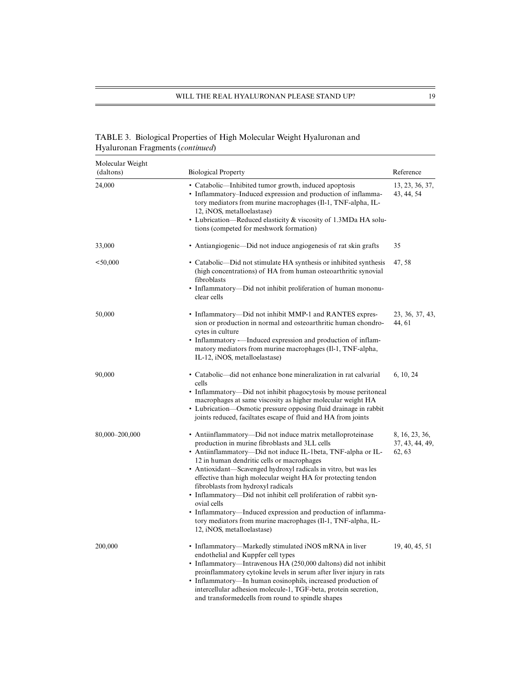## TABLE 3. Biological Properties of High Molecular Weight Hyaluronan and Hyaluronan Fragments (*continued*)

| Molecular Weight<br>(daltons) | <b>Biological Property</b>                                                                                                                                                                                                                                                                                                                                                                                                                                                                                                                                                                                                                             | Reference                                   |
|-------------------------------|--------------------------------------------------------------------------------------------------------------------------------------------------------------------------------------------------------------------------------------------------------------------------------------------------------------------------------------------------------------------------------------------------------------------------------------------------------------------------------------------------------------------------------------------------------------------------------------------------------------------------------------------------------|---------------------------------------------|
| 24,000                        | • Catabolic—Inhibited tumor growth, induced apoptosis<br>• Inflammatory-Induced expression and production of inflamma-<br>tory mediators from murine macrophages (Il-1, TNF-alpha, IL-<br>12, iNOS, metalloelastase)<br>• Lubrication—Reduced elasticity & viscosity of 1.3MDa HA solu-<br>tions (competed for meshwork formation)                                                                                                                                                                                                                                                                                                                     | 13, 23, 36, 37,<br>43, 44, 54               |
| 33,000                        | • Antiangiogenic—Did not induce angiogenesis of rat skin grafts                                                                                                                                                                                                                                                                                                                                                                                                                                                                                                                                                                                        | 35                                          |
| < 50,000                      | • Catabolic—Did not stimulate HA synthesis or inhibited synthesis<br>(high concentrations) of HA from human osteoarthritic synovial<br>fibroblasts<br>• Inflammatory—Did not inhibit proliferation of human mononu-<br>clear cells                                                                                                                                                                                                                                                                                                                                                                                                                     | 47, 58                                      |
| 50,000                        | • Inflammatory—Did not inhibit MMP-1 and RANTES expres-<br>sion or production in normal and osteoarthritic human chondro-<br>cytes in culture<br>• Inflammatory -- Induced expression and production of inflam-<br>matory mediators from murine macrophages (Il-1, TNF-alpha,<br>IL-12, iNOS, metalloelastase)                                                                                                                                                                                                                                                                                                                                         | 23, 36, 37, 43,<br>44, 61                   |
| 90,000                        | • Catabolic—did not enhance bone mineralization in rat calvarial<br>cells<br>• Inflammatory—Did not inhibit phagocytosis by mouse peritoneal<br>macrophages at same viscosity as higher molecular weight HA<br>• Lubrication—Osmotic pressure opposing fluid drainage in rabbit<br>joints reduced, faciltates escape of fluid and HA from joints                                                                                                                                                                                                                                                                                                       | 6, 10, 24                                   |
| 80,000-200,000                | • Antiinflammatory—Did not induce matrix metalloproteinase<br>production in murine fibroblasts and 3LL cells<br>• Antiinflammatory—Did not induce IL-1beta, TNF-alpha or IL-<br>12 in human dendritic cells or macrophages<br>• Antioxidant—Scavenged hydroxyl radicals in vitro, but was les<br>effective than high molecular weight HA for protecting tendon<br>fibroblasts from hydroxyl radicals<br>• Inflammatory—Did not inhibit cell proliferation of rabbit syn-<br>ovial cells<br>• Inflammatory—Induced expression and production of inflamma-<br>tory mediators from murine macrophages (Il-1, TNF-alpha, IL-<br>12, iNOS, metalloelastase) | 8, 16, 23, 36,<br>37, 43, 44, 49,<br>62, 63 |
| 200,000                       | • Inflammatory-Markedly stimulated iNOS mRNA in liver<br>endothelial and Kuppfer cell types<br>• Inflammatory-Intravenous HA (250,000 daltons) did not inhibit<br>proinflammatory cytokine levels in serum after liver injury in rats<br>• Inflammatory—In human eosinophils, increased production of<br>intercellular adhesion molecule-1, TGF-beta, protein secretion,<br>and transformed cells from round to spindle shapes                                                                                                                                                                                                                         | 19, 40, 45, 51                              |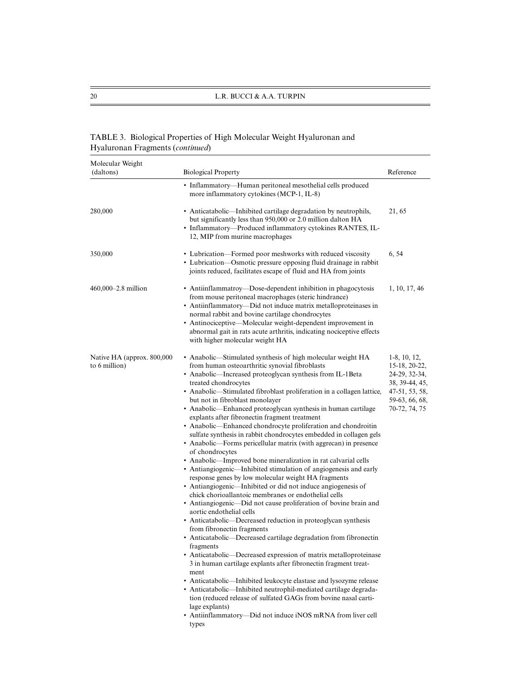## TABLE 3. Biological Properties of High Molecular Weight Hyaluronan and Hyaluronan Fragments (*continued*)

| Molecular Weight                            |                                                                                                                                                                                                                                                                                                                                                                                                                                                                                                                                                                                                                                                                                                                                                                                                                                                                                                                                                                                                                                                                                                                                                                                                                                                                                                                                                                                                                                                                                                                                                                                                                                                                                                                          |                                                                                                                          |
|---------------------------------------------|--------------------------------------------------------------------------------------------------------------------------------------------------------------------------------------------------------------------------------------------------------------------------------------------------------------------------------------------------------------------------------------------------------------------------------------------------------------------------------------------------------------------------------------------------------------------------------------------------------------------------------------------------------------------------------------------------------------------------------------------------------------------------------------------------------------------------------------------------------------------------------------------------------------------------------------------------------------------------------------------------------------------------------------------------------------------------------------------------------------------------------------------------------------------------------------------------------------------------------------------------------------------------------------------------------------------------------------------------------------------------------------------------------------------------------------------------------------------------------------------------------------------------------------------------------------------------------------------------------------------------------------------------------------------------------------------------------------------------|--------------------------------------------------------------------------------------------------------------------------|
| (daltons)                                   | <b>Biological Property</b>                                                                                                                                                                                                                                                                                                                                                                                                                                                                                                                                                                                                                                                                                                                                                                                                                                                                                                                                                                                                                                                                                                                                                                                                                                                                                                                                                                                                                                                                                                                                                                                                                                                                                               | Reference                                                                                                                |
|                                             | • Inflammatory-Human peritoneal mesothelial cells produced<br>more inflammatory cytokines (MCP-1, IL-8)                                                                                                                                                                                                                                                                                                                                                                                                                                                                                                                                                                                                                                                                                                                                                                                                                                                                                                                                                                                                                                                                                                                                                                                                                                                                                                                                                                                                                                                                                                                                                                                                                  |                                                                                                                          |
| 280,000                                     | • Anticatabolic—Inhibited cartilage degradation by neutrophils,<br>but significantly less than 950,000 or 2.0 million dalton HA<br>· Inflammatory-Produced inflammatory cytokines RANTES, IL-<br>12, MIP from murine macrophages                                                                                                                                                                                                                                                                                                                                                                                                                                                                                                                                                                                                                                                                                                                                                                                                                                                                                                                                                                                                                                                                                                                                                                                                                                                                                                                                                                                                                                                                                         | 21,65                                                                                                                    |
| 350,000                                     | • Lubrication—Formed poor meshworks with reduced viscosity<br>• Lubrication-Osmotic pressure opposing fluid drainage in rabbit<br>joints reduced, facilitates escape of fluid and HA from joints                                                                                                                                                                                                                                                                                                                                                                                                                                                                                                                                                                                                                                                                                                                                                                                                                                                                                                                                                                                                                                                                                                                                                                                                                                                                                                                                                                                                                                                                                                                         | 6, 54                                                                                                                    |
| $460,000 - 2.8$ million                     | • Antiinflammatroy—Dose-dependent inhibition in phagocytosis<br>from mouse peritoneal macrophages (steric hindrance)<br>• Antiinflammatory—Did not induce matrix metalloproteinases in<br>normal rabbit and bovine cartilage chondrocytes<br>• Antinociceptive—Molecular weight-dependent improvement in<br>abnormal gait in rats acute arthritis, indicating nociceptive effects<br>with higher molecular weight HA                                                                                                                                                                                                                                                                                                                                                                                                                                                                                                                                                                                                                                                                                                                                                                                                                                                                                                                                                                                                                                                                                                                                                                                                                                                                                                     | 1, 10, 17, 46                                                                                                            |
| Native HA (approx. 800,000<br>to 6 million) | • Anabolic—Stimulated synthesis of high molecular weight HA<br>from human osteoarthritic synovial fibroblasts<br>• Anabolic-Increased proteoglycan synthesis from IL-1Beta<br>treated chondrocytes<br>• Anabolic—Stimulated fibroblast proliferation in a collagen lattice,<br>but not in fibroblast monolayer<br>• Anabolic—Enhanced proteoglycan synthesis in human cartilage<br>explants after fibronectin fragment treatment<br>• Anabolic-Enhanced chondrocyte proliferation and chondroitin<br>sulfate synthesis in rabbit chondrocytes embedded in collagen gels<br>• Anabolic—Forms pericellular matrix (with aggrecan) in presence<br>of chondrocytes<br>• Anabolic—Improved bone mineralization in rat calvarial cells<br>• Antiangiogenic—Inhibited stimulation of angiogenesis and early<br>response genes by low molecular weight HA fragments<br>• Antiangiogenic-Inhibited or did not induce angiogenesis of<br>chick chorioallantoic membranes or endothelial cells<br>• Antiangiogenic-Did not cause proliferation of bovine brain and<br>aortic endothelial cells<br>• Anticatabolic—Decreased reduction in proteoglycan synthesis<br>from fibronectin fragments<br>• Anticatabolic-Decreased cartilage degradation from fibronectin<br>fragments<br>• Anticatabolic—Decreased expression of matrix metalloproteinase<br>3 in human cartilage explants after fibronectin fragment treat-<br>ment<br>• Anticatabolic—Inhibited leukocyte elastase and lysozyme release<br>• Anticatabolic-Inhibited neutrophil-mediated cartilage degrada-<br>tion (reduced release of sulfated GAGs from bovine nasal carti-<br>lage explants)<br>• Antiinflammatory-Did not induce iNOS mRNA from liver cell<br>types | $1-8$ , 10, 12,<br>15-18, 20-22,<br>24-29, 32-34,<br>38, 39-44, 45,<br>47-51, 53, 58,<br>59-63, 66, 68,<br>70-72, 74, 75 |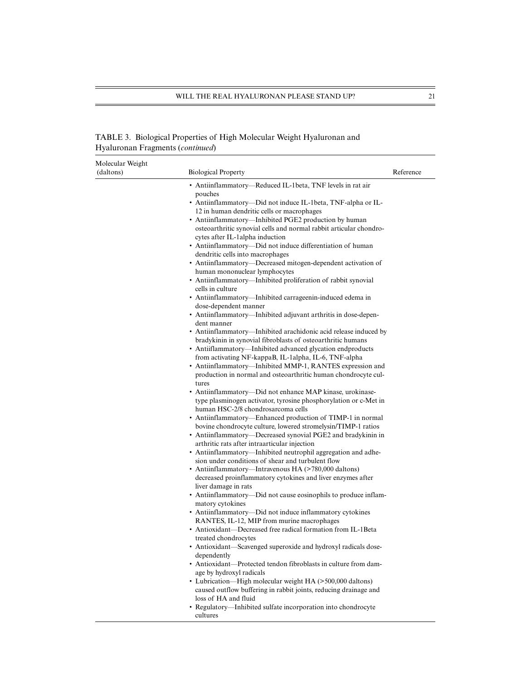## TABLE 3. Biological Properties of High Molecular Weight Hyaluronan and Hyaluronan Fragments (*continued*)

| Molecular Weight<br>(daltons) | <b>Biological Property</b>                                                                                | Reference |
|-------------------------------|-----------------------------------------------------------------------------------------------------------|-----------|
|                               | • Antiinflammatory—Reduced IL-1beta, TNF levels in rat air                                                |           |
|                               | pouches                                                                                                   |           |
|                               | • Antiinflammatory—Did not induce IL-1beta, TNF-alpha or IL-                                              |           |
|                               | 12 in human dendritic cells or macrophages                                                                |           |
|                               | • Antiinflammatory—Inhibited PGE2 production by human                                                     |           |
|                               | osteoarthritic synovial cells and normal rabbit articular chondro-                                        |           |
|                               | cytes after IL-lalpha induction                                                                           |           |
|                               | • Antiinflammatory-Did not induce differentiation of human                                                |           |
|                               | dendritic cells into macrophages                                                                          |           |
|                               | • Antiinflammatory—Decreased mitogen-dependent activation of                                              |           |
|                               | human mononuclear lymphocytes                                                                             |           |
|                               | • Antiinflammatory—Inhibited proliferation of rabbit synovial                                             |           |
|                               | cells in culture                                                                                          |           |
|                               | • Antiinflammatory—Inhibited carrageenin-induced edema in<br>dose-dependent manner                        |           |
|                               | • Antiinflammatory—Inhibited adjuvant arthritis in dose-depen-                                            |           |
|                               | dent manner                                                                                               |           |
|                               | • Antiinflammatory—Inhibited arachidonic acid release induced by                                          |           |
|                               | bradykinin in synovial fibroblasts of osteoarthritic humans                                               |           |
|                               | • Antiiflammatory—Inhibited advanced glycation endproducts                                                |           |
|                               | from activating NF-kappaB, IL-1alpha, IL-6, TNF-alpha                                                     |           |
|                               | • Antiinflammatory—Inhibited MMP-1, RANTES expression and                                                 |           |
|                               | production in normal and osteoarthritic human chondrocyte cul-                                            |           |
|                               | tures                                                                                                     |           |
|                               | • Antiinflammatory—Did not enhance MAP kinase, urokinase-                                                 |           |
|                               | type plasminogen activator, tyrosine phosphorylation or c-Met in                                          |           |
|                               | human HSC-2/8 chondrosarcoma cells                                                                        |           |
|                               | • Antiinflammatory—Enhanced production of TIMP-1 in normal                                                |           |
|                               | bovine chondrocyte culture, lowered stromelysin/TIMP-1 ratios                                             |           |
|                               | • Antiinflammatory—Decreased synovial PGE2 and bradykinin in                                              |           |
|                               | arthritic rats after intraarticular injection                                                             |           |
|                               | • Antiinflammatory—Inhibited neutrophil aggregation and adhe-                                             |           |
|                               | sion under conditions of shear and turbulent flow<br>• Antiinflammatory—Intravenous HA (>780,000 daltons) |           |
|                               | decreased proinflammatory cytokines and liver enzymes after                                               |           |
|                               | liver damage in rats                                                                                      |           |
|                               | • Antiinflammatory—Did not cause eosinophils to produce inflam-                                           |           |
|                               | matory cytokines                                                                                          |           |
|                               | • Antiinflammatory—Did not induce inflammatory cytokines                                                  |           |
|                               | RANTES, IL-12, MIP from murine macrophages                                                                |           |
|                               | • Antioxidant—Decreased free radical formation from IL-1 Beta                                             |           |
|                               | treated chondrocytes                                                                                      |           |
|                               | • Antioxidant—Scavenged superoxide and hydroxyl radicals dose-                                            |           |
|                               | dependently                                                                                               |           |
|                               | • Antioxidant—Protected tendon fibroblasts in culture from dam-<br>age by hydroxyl radicals               |           |
|                               | • Lubrication—High molecular weight HA (>500,000 daltons)                                                 |           |
|                               | caused outflow buffering in rabbit joints, reducing drainage and                                          |           |
|                               | loss of HA and fluid                                                                                      |           |
|                               | • Regulatory-Inhibited sulfate incorporation into chondrocyte                                             |           |
|                               | cultures                                                                                                  |           |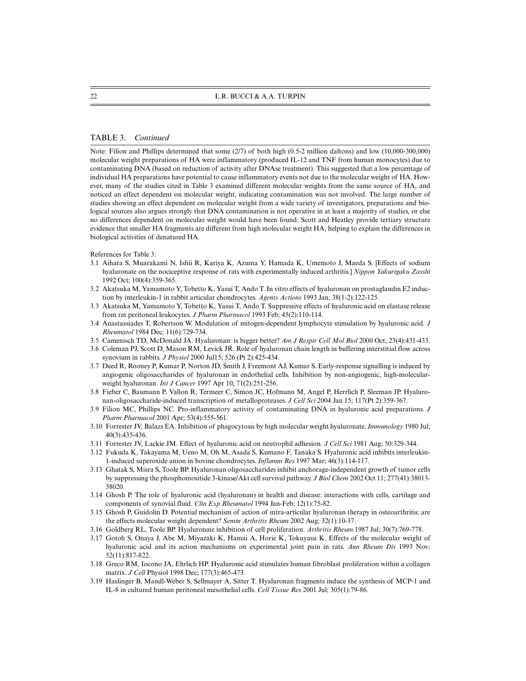#### TABLE 3. *Continued*

Note: Filion and Phillips determined that some (2/7) of both high (0.5-2 million daltons) and low (10,000-300,000) molecular weight preparations of HA were inflammatory (produced IL-12 and TNF from human monocytes) due to contaminating DNA (based on reduction of activity after DNAse treatment). This suggested that a low percentage of individual HA preparations have potential to cause inflammatory events not due to the molecular weight of HA. However, many of the studies cited in Table 3 examined different molecular weights from the same source of HA, and noticed an effect dependent on molecular weight, indicating contamination was not involved. The large number of studies showing an effect dependent on molecular weight from a wide variety of investigators, preparations and biological sources also argues strongly that DNA contamination is not operative in at least a majority of studies, or else no differences dependent on molecular weight would have been found. Scott and Heatley provide tertiary structure evidence that smaller HA fragments are different from high molecular weight HA, helping to explain the differences in biological activities of denatured HA.

References for Table 3:

- 3.1 Aihara S, Muarakami N, Ishii R, Kariya K, Azuma Y, Hamada K, Umemoto J, Maeda S. [Effects of sodium hyaluronate on the nociceptive response of rats with experimentally induced arthritis.] *Nippon Yakurigaku Zasshi* 1992 Oct; 100(4):359-365.
- 3.2 Akatsuka M, Yamamoto Y, Tobetto K, Yasui T, Ando T. In vitro effects of hyaluronan on prostaglandin E2 induction by interleukin-1 in rabbit articular chondrocytes. *Agents Actions* 1993 Jan; 38(1-2):122-125.
- 3.3 Akatsuka M, Yamamoto Y, Tobetto K, Yasui T, Ando T. Suppressive effects of hyaluronic acid on elastase release from rat peritoneal leukocytes. *J Pharm Pharmacol* 1993 Feb; 45(2):110-114.
- 3.4 Anastassiades T, Robertson W. Modulation of mitogen-dependent lymphocyte stimulation by hyaluronic acid. *J Rheumatol* 1984 Dec; 11(6):729-734.
- 3.5 Camenisch TD, McDonald JA. Hyaluronan: is bigger better? *Am J Respir Cell Mol Biol* 2000 Oct; 23(4):431-433.
- 3.6 Coleman PJ, Scott D, Mason RM, Levick JR. Role of hyaluronan chain length in buffering interstitial flow across synovium in rabbits. *J Physiol* 2000 Jul15; 526 (Pt 2):425-434.
- 3.7 Deed R, Rooney P, Kumar P, Norton JD, Smith J, Freemont AJ, Kumar S. Early-response signalling is induced by angiogenic oligosaccharides of hyaluronan in endothelial cells. Inhibition by non-angiogenic, high-molecularweight hyaluronan. *Int J Cancer* 1997 Apr 10; 71(2):251-256.
- 3.8 Fieber C, Baumann P, Vallon R, Termeer C, Simon JC, Hofmann M, Angel P, Herrlich P, Sleeman JP. Hyaluronan-oligosaccharide-induced transcription of metalloproteases. *J Cell Sci* 2004 Jan 15; 117(Pt 2):359-367.
- 3.9 Filion MC, Phillips NC. Pro-inflammatory activity of contaminating DNA in hyaluronic acid preparations. *J Pharm Pharmacol* 2001 Apr; 53(4):555-561.
- 3.10 Forrester JV, Balazs EA. Inhibition of phagocytosis by high molecular weight hyaluronate. *Immunology* 1980 Jul; 40(3):435-436.
- 3.11 Forrester JV, Lackie JM. Effect of hyaluronic acid on neutrophil adhesion. *J Cell Sci* 1981 Aug; 50:329-344.
- 3.12 Fukuda K, Takayama M, Ueno M, Oh M, Asada S, Kumano F, Tanaka S. Hyaluronic acid inhibits interleukin-1-induced superoxide anion in bovine chondrocytes. *Inflamm Res* 1997 Mar; 46(3):114-117.
- 3.13 Ghatak S, Misra S, Toole BP. Hyaluronan oligosaccharides inhibit anchorage-independent growth of tumor cells by suppressing the phosphoinositide 3-kinase/Akt cell survival pathway. *J Biol Chem* 2002 Oct 11; 277(41):38013- 38020.
- 3.14 Ghosh P. The role of hyaluronic acid (hyaluronan) in health and disease: interactions with cells, cartilage and components of synovial fluid. *Clin Exp Rheumatol* 1994 Jan-Feb; 12(1):75-82.
- 3.15 Ghosh P, Guidolin D. Potential mechanism of action of intra-articular hyaluronan therapy in osteoarthritis: are the effects molecular weight dependent? *Semin Arthritis Rheum* 2002 Aug; 32(1):10-37.
- 3.16 Goldberg RL, Toole BP. Hyaluronate inhibition of cell proliferation. *Arthritis Rheum* 1987 Jul; 30(7):769-778.
- 3.17 Gotoh S, Onaya J, Abe M, Miyazaki K, Hamai A, Horie K, Tokuyasu K. Effects of the molecular weight of hyaluronic acid and its action mechanisms on experimental joint pain in rats. *Ann Rheum Dis* 1993 Nov; 52(11):817-822.
- 3.18 Greco RM, Iocono JA, Ehrlich HP. Hyaluronic acid stimulates human fibroblast proliferation within a collagen matrix. *J Cell* Physiol 1998 Dec; 177(3):465-473.
- 3.19 Haslinger B, Mandl-Weber S, Sellmayer A, Sitter T. Hyaluronan fragments induce the synthesis of MCP-1 and IL-8 in cultured human peritoneal mesothelial cells. *Cell Tissue Res* 2001 Jul; 305(1):79-86.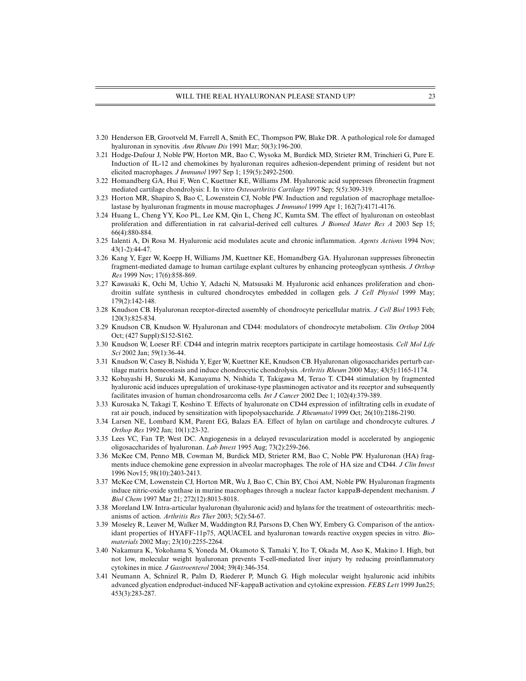- 3.20 Henderson EB, Grootveld M, Farrell A, Smith EC, Thompson PW, Blake DR. A pathological role for damaged hyaluronan in synovitis. *Ann Rheum Dis* 1991 Mar; 50(3):196-200.
- 3.21 Hodge-Dufour J, Noble PW, Horton MR, Bao C, Wysoka M, Burdick MD, Strieter RM, Trinchieri G, Pure E. Induction of IL-12 and chemokines by hyaluronan requires adhesion-dependent priming of resident but not elicited macrophages. *J Immunol* 1997 Sep 1; 159(5):2492-2500.
- 3.22 Homandberg GA, Hui F, Wen C, Kuettner KE, Williams JM. Hyaluronic acid suppresses fibronectin fragment mediated cartilage chondrolysis: I. In vitro *Osteoarthritis Cartilage* 1997 Sep; 5(5):309-319.
- 3.23 Horton MR, Shapiro S, Bao C, Lowenstein CJ, Noble PW. Induction and regulation of macrophage metalloelastase by hyaluronan fragments in mouse macrophages. *J Immunol* 1999 Apr 1; 162(7):4171-4176.
- 3.24 Huang L, Cheng YY, Koo PL, Lee KM, Qin L, Cheng JC, Kumta SM. The effect of hyaluronan on osteoblast proliferation and differentiation in rat calvarial-derived cell cultures. *J Biomed Mater Res A* 2003 Sep 15; 66(4):880-884.
- 3.25 Ialenti A, Di Rosa M. Hyaluronic acid modulates acute and chronic inflammation. *Agents Actions* 1994 Nov; 43(1-2):44-47.
- 3.26 Kang Y, Eger W, Koepp H, Williams JM, Kuettner KE, Homandberg GA. Hyaluronan suppresses fibronectin fragment-mediated damage to human cartilage explant cultures by enhancing proteoglycan synthesis. *J Orthop Res* 1999 Nov; 17(6):858-869.
- 3.27 Kawasaki K, Ochi M, Uchio Y, Adachi N, Matsusaki M. Hyaluronic acid enhances proliferation and chondroitin sulfate synthesis in cultured chondrocytes embedded in collagen gels. *J Cell Physiol* 1999 May; 179(2):142-148.
- 3.28 Knudson CB. Hyaluronan receptor-directed assembly of chondrocyte pericellular matrix. *J Cell Biol* 1993 Feb; 120(3):825-834.
- 3.29 Knudson CB, Knudson W. Hyaluronan and CD44: modulators of chondrocyte metabolism. *Clin Orthop* 2004 Oct; (427 Suppl):S152-S162.
- 3.30 Knudson W, Loeser RF. CD44 and integrin matrix receptors participate in cartilage homeostasis. *Cell Mol Life Sci* 2002 Jan; 59(1):36-44.
- 3.31 Knudson W, Casey B, Nishida Y, Eger W, Kuettner KE, Knudson CB. Hyaluronan oligosaccharides perturb cartilage matrix homeostasis and induce chondrocytic chondrolysis. *Arthritis Rheum* 2000 May; 43(5):1165-1174.
- 3.32 Kobayashi H, Suzuki M, Kanayama N, Nishida T, Takigawa M, Terao T. CD44 stimulation by fragmented hyaluronic acid induces upregulation of urokinase-type plasminogen activator and its receptor and subsequently facilitates invasion of human chondrosarcoma cells. *Int J Cancer* 2002 Dec 1; 102(4):379-389.
- 3.33 Kurosaka N, Takagi T, Koshino T. Effects of hyaluronate on CD44 expression of infiltrating cells in exudate of rat air pouch, induced by sensitization with lipopolysaccharide. *J Rheumatol* 1999 Oct; 26(10):2186-2190.
- 3.34 Larsen NE, Lombard KM, Parent EG, Balazs EA. Effect of hylan on cartilage and chondrocyte cultures. *J Orthop Res* 1992 Jan; 10(1):23-32.
- 3.35 Lees VC, Fan TP, West DC. Angiogenesis in a delayed revascularization model is accelerated by angiogenic oligosaccharides of hyaluronan. *Lab Invest* 1995 Aug; 73(2):259-266.
- 3.36 McKee CM, Penno MB, Cowman M, Burdick MD, Strieter RM, Bao C, Noble PW. Hyaluronan (HA) fragments induce chemokine gene expression in alveolar macrophages. The role of HA size and CD44. *J Clin Invest* 1996 Nov15; 98(10):2403-2413.
- 3.37 McKee CM, Lowenstein CJ, Horton MR, Wu J, Bao C, Chin BY, Choi AM, Noble PW. Hyaluronan fragments induce nitric-oxide synthase in murine macrophages through a nuclear factor kappaB-dependent mechanism. *J Biol Chem* 1997 Mar 21; 272(12):8013-8018.
- 3.38 Moreland LW. Intra-articular hyaluronan (hyaluronic acid) and hylans for the treatment of osteoarthritis: mechanisms of action. *Arthritis Res Ther* 2003; 5(2):54-67.
- 3.39 Moseley R, Leaver M, Walker M, Waddington RJ, Parsons D, Chen WY, Embery G. Comparison of the antioxidant properties of HYAFF-11p75, AQUACEL and hyaluronan towards reactive oxygen species in vitro. *Biomaterials* 2002 May; 23(10):2255-2264.
- 3.40 Nakamura K, Yokohama S, Yoneda M, Okamoto S, Tamaki Y, Ito T, Okada M, Aso K, Makino I. High, but not low, molecular weight hyaluronan prevents T-cell-mediated liver injury by reducing proinflammatory cytokines in mice. *J Gastroenterol* 2004; 39(4):346-354.
- 3.41 Neumann A, Schnizel R, Palm D, Riederer P, Munch G. High molecular weight hyaluronic acid inhibits advanced glycation endproduct-induced NF-kappaB activation and cytokine expression. *FEBS Lett* 1999 Jun25; 453(3):283-287.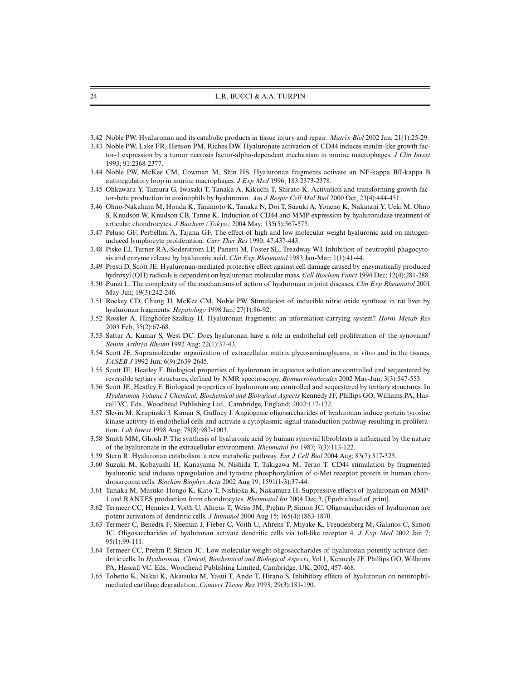- 3.42 Noble PW. Hyaluronan and its catabolic products in tissue injury and repair. *Matrix Biol* 2002 Jan; 21(1):25-29.
- 3.43 Noble PW, Lake FR, Henson PM, Riches DW. Hyaluronate activation of CD44 induces insulin-like growth factor-1 expression by a tumor necrosis factor-alpha-dependent mechanism in murine macrophages. *J Clin Invest* 1993; 91:2368-2377.
- 3.44 Noble PW, McKee CM, Cowman M, Shin HS. Hyaluronan fragments activate an NF-kappa B/I-kappa B autoregulatory loop in murine macrophages. *J Exp Med* 1996; 183:2373-2378.
- 3.45 Ohkawara Y, Tamura G, Iwasaki T, Tanaka A, Kikuchi T, Shirato K. Activation and transforming growth factor-beta production in eosinophils by hyaluronan. *Am J Respir Cell Mol Biol* 2000 Oct; 23(4):444-451.
- 3.46 Ohno-Nakahara M, Honda K, Tanimoto K, Tanaka N, Doi T, Suzuki A, Yoneno K, Nakatani Y, Ueki M, Ohno S, Knudson W, Knudson CB, Tanne K. Induction of CD44 and MMP expression by hyaluronidase treatment of articular chondrocytes. *J Biochem (Tokyo)* 2004 May; 135(5):567-575.
- 3.47 Peluso GF, Perbellini A, Tajana GF. The effect of high and low molecular weight hyaluronic acid on mitogeninduced lymphocyte proliferation. *Curr Ther Res* 1990; 47:437-443.
- 3.48 Pisko EJ, Turner RA, Soderstrom LP, Panetti M, Foster SL, Treadway WJ. Inhibition of neutrophil phagocytosis and enzyme release by hyaluronic acid. *Clin Exp Rheumatol* 1983 Jan-Mar; 1(1):41-44.
- 3.49 Presti D, Scott JE. Hyaluronan-mediated protective effect against cell damage caused by enzymatically produced hydroxyl (OH) radicals is dependent on hyaluronan molecular mass. *Cell Biochem Funct* 1994 Dec; 12(4):281-288.
- 3.50 Punzi L. The complexity of the mechanisms of action of hyaluronan in joint diseases. *Clin Exp Rheumatol* 2001 May-Jun; 19(3):242-246.
- 3.51 Rockey CD, Chung JJ, McKee CM, Noble PW. Stimulation of inducible nitric oxide synthase in rat liver by hyaluronan fragments. *Hepatology* 1998 Jan; 27(1):86-92.
- 3.52 Rossler A, Hinghofer-Szalkay H. Hyaluronan fragments: an information-carrying system? *Horm Metab Res* 2003 Feb; 35(2):67-68.
- 3.53 Sattar A, Kumar S, West DC. Does hyaluronan have a role in endothelial cell proliferation of the synovium? *Semin Arthrisi Rheum* 1992 Aug; 22(1):37-43.
- 3.54 Scott JE. Supramolecular organization of extracellular matrix glycosaminoglycans, in vitro and in the tissues. *FASEB J* 1992 Jun; 6(9):2639-2645.
- 3.55 Scott JE, Heatley F. Biological properties of hyaluronan in aqueous solution are controlled and sequestered by reversible tertiary structures, defined by NMR spectroscopy. *Biomacromolecules* 2002 May-Jun; 3(3):547-553.
- 3.56 Scott JE, Heatley F. Biological properties of hyaluronan are controlled and sequestered by tertiary structures. In *Hyaluronan Volume 1 Chemical, Biochemical and Biological Aspects* Kennedy JF, Phillips GO, Williams PA, Hascall VC, Eds., Woodhead Publishing Ltd., Cambridge, England; 2002:117-122.
- 3.57 Slevin M, Krupinski J, Kumar S, Gaffney J. Angiogenic oligosaccharides of hyaluronan induce protein tyrosine kinase activity in endothelial cells and activate a cytoplasmic signal transduction pathway resulting in proliferation. *Lab Invest* 1998 Aug; 78(8):987-1003.
- 3.58 Smith MM, Ghosh P. The synthesis of hyaluronic acid by human synovial fibroblasts is influenced by the nature of the hyaluronate in the extracellular environment. *Rheumatol Int* 1987; 7(3):113-122.
- 3.59 Stern R. Hyaluronan catabolism: a new metabolic pathway. *Eur J Cell Biol* 2004 Aug; 83(7):317-325.
- 3.60 Suzuki M, Kobayashi H, Kanayama N, Nishida T, Takigawa M, Terao T. CD44 stimulation by fragmented hyaluronic acid induces upregulation and tyrosine phosphorylation of c-Met receptor protein in human chondrosarcoma cells. *Biochim Biophys Acta* 2002 Aug 19; 1591(1-3):37-44.
- 3.61 Tanaka M, Masuko-Hongo K, Kato T, Nishioka K, Nakamura H. Suppressive effects of hyaluronan on MMP-1 and RANTES production from chondrocytes. *Rheumatol Int* 2004 Dec 3, [Epub ahead of print].
- 3.62 Termeer CC, Hennies J, Voith U, Ahrens T, Weiss JM, Prehm P, Simon JC. Oligosaccharides of hyaluronan are potent activators of dendritic cells. *J Immunol* 2000 Aug 15; 165(4):1863-1870.
- 3.63 Termeer C, Benedix F, Sleeman J, Fieber C, Voith U, Ahrens T, Miyake K, Freudenberg M, Galanos C, Simon JC. Oligosaccharides of hyaluronan activate dendritic cells via toll-like receptor 4. *J Exp Med* 2002 Jan 7; 95(1):99-111.
- 3.64 Termeer CC, Prehm P, Simon JC. Low molecular weight oligosaccharides of hyaluronan potently activate dendritic cells. In *Hyaluronan. Clinical, Biochemical and Biological Aspects*, Vol 1, Kennedy JF, Phillips GO, Willaims PA, Hascall VC, Eds., Woodhead Publishing Limited, Cambridge, UK, 2002, 457-468.
- 3.65 Tobetto K, Nakai K, Akatsuka M, Yasui T, Ando T, Hirano S. Inhibitory effects of hyaluronan on neutrophilmediated cartilage degradation. *Connect Tissue Res* 1993; 29(3):181-190.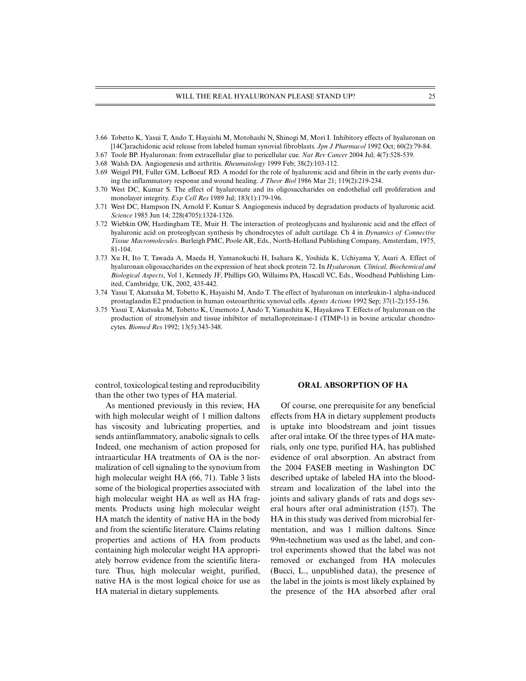- 3.66 Tobetto K, Yasui T, Ando T, Hayaishi M, Motohashi N, Shinogi M, Mori I. Inhibitory effects of hyaluronan on [14C]arachidonic acid release from labeled human synovial fibroblasts. *Jpn J Pharmacol* 1992 Oct; 60(2):79-84.
- 3.67 Toole BP. Hyaluronan: from extracellular glue to pericellular cue. *Nat Rev Cancer* 2004 Jul; 4(7):528-539.
- 3.68 Walsh DA. Angiogenesis and arthritis. *Rheumatology* 1999 Feb; 38(2):103-112.
- 3.69 Weigel PH, Fuller GM, LeBoeuf RD. A model for the role of hyaluronic acid and fibrin in the early events during the inflammatory response and wound healing. *J Theor Biol* 1986 Mar 21; 119(2):219-234.
- 3.70 West DC, Kumar S. The effect of hyaluronate and its oligosaccharides on endothelial cell proliferation and monolayer integrity. *Exp Cell Res* 1989 Jul; 183(1):179-196.
- 3.71 West DC, Hampson IN, Arnold F, Kumar S. Angiogenesis induced by degradation products of hyaluronic acid. *Science* 1985 Jun 14; 228(4705):1324-1326.
- 3.72 Wiebkin OW, Hardingham TE, Muir H. The interaction of proteoglycans and hyaluronic acid and the effect of hyaluronic acid on proteoglycan synthesis by chondrocytes of adult cartilage. Ch 4 in *Dynamics of Connective Tissue Macromolecules*. Burleigh PMC, Poole AR, Eds., North-Holland Publishing Company, Amsterdam, 1975, 81-104.
- 3.73 Xu H, Ito T, Tawada A, Maeda H, Yamanokuchi H, Isahara K, Yoshida K, Uchiyama Y, Asari A. Effect of hyaluronan oligosaccharides on the expression of heat shock protein 72. In *Hyaluronan. Clinical, Biochemical and Biological Aspects*, Vol 1, Kennedy JF, Phillips GO, Willaims PA, Hascall VC, Eds., Woodhead Publishing Limited, Cambridge, UK, 2002, 435-442.
- 3.74 Yasui T, Akatsuka M, Tobetto K, Hayaishi M, Ando T. The effect of hyaluronan on interleukin-1 alpha-induced prostaglandin E2 production in human osteoarthritic synovial cells. *Agents Actions* 1992 Sep; 37(1-2):155-156.
- 3.75 Yasui T, Akatsuka M, Tobetto K, Umemoto J, Ando T, Yamashita K, Hayakawa T. Effects of hyaluronan on the production of stromelysin and tissue inhibitor of metalloproteinase-1 (TIMP-1) in bovine articular chondrocytes. *Biomed Res* 1992; 13(5):343-348.

control, toxicological testing and reproducibility than the other two types of HA material.

As mentioned previously in this review, HA with high molecular weight of 1 million daltons has viscosity and lubricating properties, and sends antiinflammatory, anabolic signals to cells. Indeed, one mechanism of action proposed for intraarticular HA treatments of OA is the normalization of cell signaling to the synovium from high molecular weight HA (66, 71). Table 3 lists some of the biological properties associated with high molecular weight HA as well as HA fragments. Products using high molecular weight HA match the identity of native HA in the body and from the scientific literature. Claims relating properties and actions of HA from products containing high molecular weight HA appropriately borrow evidence from the scientific literature. Thus, high molecular weight, purified, native HA is the most logical choice for use as HA material in dietary supplements.

#### **ORAL ABSORPTION OF HA**

Of course, one prerequisite for any beneficial effects from HA in dietary supplement products is uptake into bloodstream and joint tissues after oral intake. Of the three types of HA materials, only one type, purified HA, has published evidence of oral absorption. An abstract from the 2004 FASEB meeting in Washington DC described uptake of labeled HA into the bloodstream and localization of the label into the joints and salivary glands of rats and dogs several hours after oral administration (157). The HA in this study was derived from microbial fermentation, and was 1 million daltons. Since 99m-technetium was used as the label, and control experiments showed that the label was not removed or exchanged from HA molecules (Bucci, L., unpublished data), the presence of the label in the joints is most likely explained by the presence of the HA absorbed after oral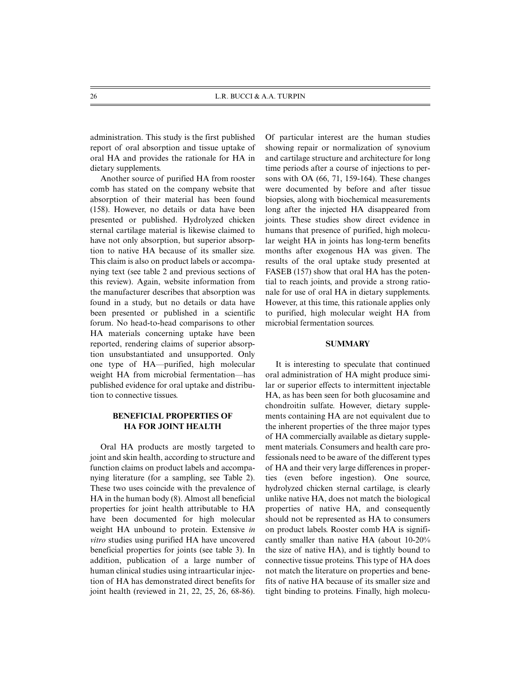administration. This study is the first published report of oral absorption and tissue uptake of oral HA and provides the rationale for HA in dietary supplements.

Another source of purified HA from rooster comb has stated on the company website that absorption of their material has been found (158). However, no details or data have been presented or published. Hydrolyzed chicken sternal cartilage material is likewise claimed to have not only absorption, but superior absorption to native HA because of its smaller size. This claim is also on product labels or accompanying text (see table 2 and previous sections of this review). Again, website information from the manufacturer describes that absorption was found in a study, but no details or data have been presented or published in a scientific forum. No head-to-head comparisons to other HA materials concerning uptake have been reported, rendering claims of superior absorption unsubstantiated and unsupported. Only one type of HA—purified, high molecular weight HA from microbial fermentation—has published evidence for oral uptake and distribution to connective tissues.

### **BENEFICIAL PROPERTIES OF HA FOR JOINT HEALTH**

Oral HA products are mostly targeted to joint and skin health, according to structure and function claims on product labels and accompanying literature (for a sampling, see Table 2). These two uses coincide with the prevalence of HA in the human body (8). Almost all beneficial properties for joint health attributable to HA have been documented for high molecular weight HA unbound to protein. Extensive *in vitro* studies using purified HA have uncovered beneficial properties for joints (see table 3). In addition, publication of a large number of human clinical studies using intraarticular injection of HA has demonstrated direct benefits for joint health (reviewed in 21, 22, 25, 26, 68-86). Of particular interest are the human studies showing repair or normalization of synovium and cartilage structure and architecture for long time periods after a course of injections to persons with OA (66, 71, 159-164). These changes were documented by before and after tissue biopsies, along with biochemical measurements long after the injected HA disappeared from joints. These studies show direct evidence in humans that presence of purified, high molecular weight HA in joints has long-term benefits months after exogenous HA was given. The results of the oral uptake study presented at FASEB (157) show that oral HA has the potential to reach joints, and provide a strong rationale for use of oral HA in dietary supplements. However, at this time, this rationale applies only to purified, high molecular weight HA from microbial fermentation sources.

### **SUMMARY**

It is interesting to speculate that continued oral administration of HA might produce similar or superior effects to intermittent injectable HA, as has been seen for both glucosamine and chondroitin sulfate. However, dietary supplements containing HA are not equivalent due to the inherent properties of the three major types of HA commercially available as dietary supplement materials. Consumers and health care professionals need to be aware of the different types of HA and their very large differences in properties (even before ingestion). One source, hydrolyzed chicken sternal cartilage, is clearly unlike native HA, does not match the biological properties of native HA, and consequently should not be represented as HA to consumers on product labels. Rooster comb HA is significantly smaller than native HA (about 10-20% the size of native HA), and is tightly bound to connective tissue proteins. This type of HA does not match the literature on properties and benefits of native HA because of its smaller size and tight binding to proteins. Finally, high molecu-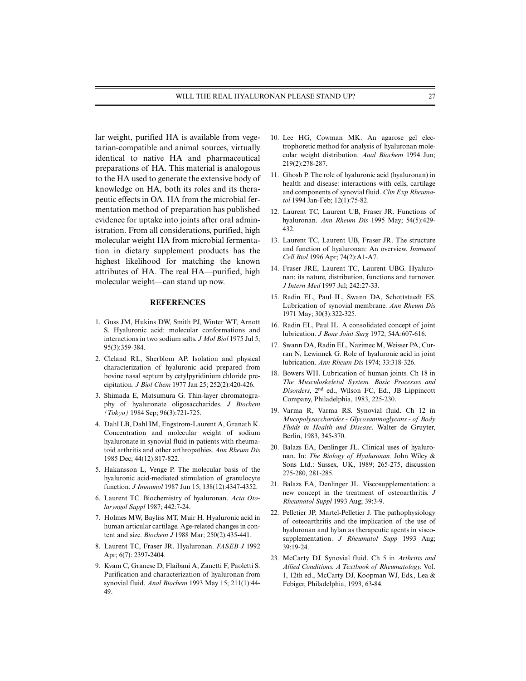lar weight, purified HA is available from vegetarian-compatible and animal sources, virtually identical to native HA and pharmaceutical preparations of HA. This material is analogous to the HA used to generate the extensive body of knowledge on HA, both its roles and its therapeutic effects in OA. HA from the microbial fermentation method of preparation has published evidence for uptake into joints after oral administration. From all considerations, purified, high molecular weight HA from microbial fermentation in dietary supplement products has the highest likelihood for matching the known attributes of HA. The real HA—purified, high molecular weight—can stand up now.

#### **REFERENCES**

- 1. Guss JM, Hukins DW, Smith PJ, Winter WT, Arnott S. Hyaluronic acid: molecular conformations and interactions in two sodium salts. *J Mol Biol* 1975 Jul 5; 95(3):359-384.
- 2. Cleland RL, Sherblom AP. Isolation and physical characterization of hyaluronic acid prepared from bovine nasal septum by cetylpyridinium chloride precipitation*. J Biol Chem* 1977 Jan 25; 252(2):420-426.
- 3. Shimada E, Matsumura G. Thin-layer chromatography of hyaluronate oligosaccharides. *J Biochem (Tokyo)* 1984 Sep; 96(3):721-725.
- 4. Dahl LB, Dahl IM, Engstrom-Laurent A, Granath K. Concentration and molecular weight of sodium hyaluronate in synovial fluid in patients with rheumatoid arthritis and other arthropathies. *Ann Rheum Dis* 1985 Dec; 44(12):817-822.
- 5. Hakansson L, Venge P. The molecular basis of the hyaluronic acid-mediated stimulation of granulocyte function. *J Immunol* 1987 Jun 15; 138(12):4347-4352.
- 6. Laurent TC. Biochemistry of hyaluronan. *Acta Otolaryngol Suppl* 1987; 442:7-24.
- 7. Holmes MW, Bayliss MT, Muir H. Hyaluronic acid in human articular cartilage. Age-related changes in content and size. *Biochem J* 1988 Mar; 250(2):435-441.
- 8. Laurent TC, Fraser JR. Hyaluronan. *FASEB J* 1992 Apr; 6(7): 2397-2404.
- 9. Kvam C, Granese D, Flaibani A, Zanetti F, Paoletti S. Purification and characterization of hyaluronan from synovial fluid. *Anal Biochem* 1993 May 15; 211(1):44- 49.
- 10. Lee HG, Cowman MK. An agarose gel electrophoretic method for analysis of hyaluronan molecular weight distribution. *Anal Biochem* 1994 Jun; 219(2):278-287.
- 11. Ghosh P. The role of hyaluronic acid (hyaluronan) in health and disease: interactions with cells, cartilage and components of synovial fluid. *Clin Exp Rheumatol* 1994 Jan-Feb; 12(1):75-82.
- 12. Laurent TC, Laurent UB, Fraser JR. Functions of hyaluronan. *Ann Rheum Dis* 1995 May; 54(5):429- 432.
- 13. Laurent TC, Laurent UB, Fraser JR. The structure and function of hyaluronan: An overview. *Immunol Cell Biol* 1996 Apr; 74(2):A1-A7.
- 14. Fraser JRE, Laurent TC, Laurent UBG. Hyaluronan: its nature, distribution, functions and turnover. *J Intern Med* 1997 Jul; 242:27-33.
- 15. Radin EL, Paul IL, Swann DA, Schottstaedt ES. Lubrication of synovial membrane. *Ann Rheum Dis* 1971 May; 30(3):322-325.
- 16. Radin EL, Paul IL. A consolidated concept of joint lubrication. *J Bone Joint Surg* 1972; 54A:607-616.
- 17. Swann DA, Radin EL, Nazimec M, Weisser PA, Curran N, Lewinnek G. Role of hyaluronic acid in joint lubrication. *Ann Rheum Dis* 1974; 33:318-326.
- 18. Bowers WH. Lubrication of human joints. Ch 18 in *The Musculoskeletal System. Basic Processes and Disorders*, 2nd ed., Wilson FC, Ed., JB Lippincott Company, Philadelphia, 1983, 225-230.
- 19. Varma R, Varma RS. Synovial fluid. Ch 12 in *Mucopolysaccharides - Glycosaminoglycans - of Body Fluids in Health and Disease*. Walter de Gruyter, Berlin, 1983, 345-370.
- 20. Balazs EA, Denlinger JL. Clinical uses of hyaluronan. In: *The Biology of Hyaluronan.* John Wiley & Sons Ltd.: Sussex, UK, 1989; 265-275, discussion 275-280, 281-285.
- 21. Balazs EA, Denlinger JL. Viscosupplementation: a new concept in the treatment of osteoarthritis. *J Rheumatol Suppl* 1993 Aug; 39:3-9.
- 22. Pelletier JP, Martel-Pelletier J. The pathophysiology of osteoarthritis and the implication of the use of hyaluronan and hylan as therapeutic agents in viscosupplementation. *J Rheumatol Supp* 1993 Aug; 39:19-24.
- 23. McCarty DJ. Synovial fluid. Ch 5 in *Arthritis and Allied Conditions. A Textbook of Rheumatology.* Vol. 1, 12th ed., McCarty DJ, Koopman WJ, Eds., Lea & Febiger, Philadelphia, 1993, 63-84.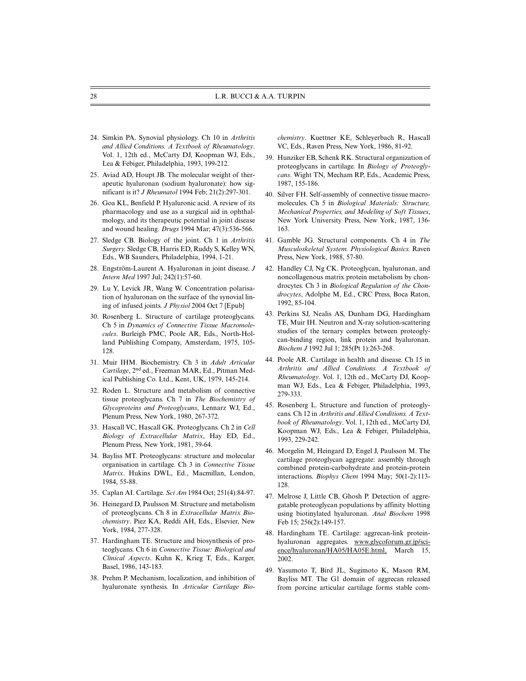- 24. Simkin PA. Synovial physiology. Ch 10 in *Arthritis and Allied Conditions. A Textbook of Rheumatology*. Vol. 1, 12th ed., McCarty DJ, Koopman WJ, Eds., Lea & Febiger, Philadelphia, 1993, 199-212.
- 25. Aviad AD, Houpt JB. The molecular weight of therapeutic hyaluronan (sodium hyaluronate): how significant is it? *J Rheumatol* 1994 Feb; 21(2):297-301.
- 26. Goa KL, Benfield P. Hyaluronic acid. A review of its pharmacology and use as a surgical aid in ophthalmology, and its therapeutic potential in joint disease and wound healing. *Drugs* 1994 Mar; 47(3):536-566.
- 27. Sledge CB. Biology of the joint. Ch 1 in *Arthritis Surgery.* Sledge CB, Harris ED, Ruddy S, Kelley WN, Eds., WB Saunders, Philadelphia, 1994, 1-21.
- 28. Engström-Laurent A. Hyaluronan in joint disease. *J Intern Med* 1997 Jul; 242(1):57-60.
- 29. Lu Y, Levick JR, Wang W. Concentration polarisation of hyaluronan on the surface of the synovial lining of infused joints. *J Physiol* 2004 Oct 7 [Epub]
- 30. Rosenberg L. Structure of cartilage proteoglycans. Ch 5 in *Dynamics of Connective Tissue Macromolecules*. Burleigh PMC, Poole AR, Eds., North-Holland Publishing Company, Amsterdam, 1975, 105- 128.
- 31. Muir IHM. Biochemistry. Ch 3 in *Adult Articular Cartilage*, 2nd ed., Freeman MAR, Ed., Pitman Medical Publishing Co. Ltd., Kent, UK, 1979, 145-214.
- 32. Roden L. Structure and metabolism of connective tissue proteoglycans. Ch 7 in *The Biochemistry of Glycoproteins and Proteoglycans*, Lennarz WJ, Ed., Plenum Press, New York, 1980, 267-372.
- 33. Hascall VC, Hascall GK. Proteoglycans. Ch 2 in *Cell Biology of Extracellular Matrix*, Hay ED, Ed., Plenum Press, New York, 1981, 39-64.
- 34. Bayliss MT. Proteoglycans: structure and molecular organisation in cartilage. Ch 3 in *Connective Tissue Matrix*. Hukins DWL, Ed., Macmillan, London, 1984, 55-88.
- 35. Caplan AI. Cartilage. *Sci Am* 1984 Oct; 251(4):84-97.
- 36. Heinegard D, Paulsson M. Structure and metabolism of proteoglycans. Ch 8 in *Extracellular Matrix Biochemistry*. Piez KA, Reddi AH, Eds., Elsevier, New York, 1984, 277-328.
- 37. Hardingham TE. Structure and biosynthesis of proteoglycans. Ch 6 in *Connective Tissue: Biological and Clinical Aspects*. Kuhn K, Krieg T, Eds., Karger, Basel, 1986, 143-183.
- 38. Prehm P. Mechanism, localization, and inhibition of hyaluronate synthesis. In *Articular Cartilage Bio-*

*chemistry*. Kuettner KE, Schleyerbach R, Hascall VC, Eds., Raven Press, New York, 1986, 81-92.

- 39. Hunziker EB, Schenk RK. Structural organization of proteoglycans in cartilage. In *Biology of Proteoglycans*. Wight TN, Mecham RP, Eds., Academic Press, 1987, 155-186.
- 40. Silver FH. Self-assembly of connective tissue macromolecules. Ch 5 in *Biological Materials: Structure, Mechanical Properties, and Modeling of Soft Tissues*, New York University Press, New York, 1987, 136- 163.
- 41. Gamble JG. Structural components. Ch 4 in *The Musculoskeletal System. Physiological Basics.* Raven Press, New York, 1988, 57-80.
- 42. Handley CJ, Ng CK. Proteoglycan, hyaluronan, and noncollagenous matrix protein metabolism by chondrocytes. Ch 3 in *Biological Regulation of the Chondrocytes*, Adolphe M, Ed., CRC Press, Boca Raton, 1992, 85-104.
- 43. Perkins SJ, Nealis AS, Dunham DG, Hardingham TE, Muir IH. Neutron and X-ray solution-scattering studies of the ternary complex between proteoglycan-binding region, link protein and hyaluronan. *Biochem J* 1992 Jul 1; 285(Pt 1):263-268.
- 44. Poole AR. Cartilage in health and disease. Ch 15 in *Arthritis and Allied Conditions. A Textbook of Rheumatology*. Vol. 1, 12th ed., McCarty DJ, Koopman WJ, Eds., Lea & Febiger, Philadelphia, 1993, 279-333.
- 45. Rosenberg L. Structure and function of proteoglycans. Ch 12 in *Arthritis and Allied Conditions. A Textbook of Rheumatology*. Vol. 1, 12th ed., McCarty DJ, Koopman WJ, Eds., Lea & Febiger, Philadelphia, 1993, 229-242.
- 46. Morgelin M, Heingard D, Engel J, Paulsson M. The cartilage proteoglycan aggregate: assembly through combined protein-carbohydrate and protein-protein interactions. *Biophys Chem* 1994 May; 50(1-2):113- 128.
- 47. Melrose J, Little CB, Ghosh P. Detection of aggregatable proteoglycan populations by affinity blotting using biotinylated hyaluronan. *Anal Biochem* 1998 Feb 15; 256(2):149-157.
- 48. Hardingham TE. Cartilage: aggrecan-link proteinhyaluronan aggregates. www.glycoforum.gr.jp/science/hyaluronan/HA05/HA05E.html, March 15, 2002.
- 49. Yasumoto T, Bird JL, Sugimoto K, Mason RM, Bayliss MT. The G1 domain of aggrecan released from porcine articular cartilage forms stable com-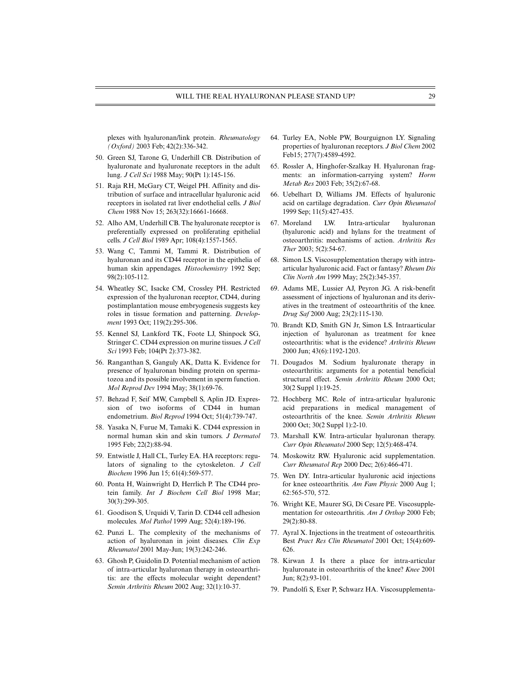plexes with hyaluronan/link protein. *Rheumatology (Oxford)* 2003 Feb; 42(2):336-342.

- 50. Green SJ, Tarone G, Underhill CB. Distribution of hyaluronate and hyaluronate receptors in the adult lung. *J Cell Sci* 1988 May; 90(Pt 1):145-156.
- 51. Raja RH, McGary CT, Weigel PH. Affinity and distribution of surface and intracellular hyaluronic acid receptors in isolated rat liver endothelial cells. *J Biol Chem* 1988 Nov 15; 263(32):16661-16668.
- 52. Alho AM, Underhill CB. The hyaluronate receptor is preferentially expressed on proliferating epithelial cells. *J Cell Biol* 1989 Apr; 108(4):1557-1565.
- 53. Wang C, Tammi M, Tammi R. Distribution of hyaluronan and its CD44 receptor in the epithelia of human skin appendages. *Histochemistry* 1992 Sep; 98(2):105-112.
- 54. Wheatley SC, Isacke CM, Crossley PH. Restricted expression of the hyaluronan receptor, CD44, during postimplantation mouse embryogenesis suggests key roles in tissue formation and patterning. *Development* 1993 Oct; 119(2):295-306.
- 55. Kennel SJ, Lankford TK, Foote LJ, Shinpock SG, Stringer C. CD44 expression on murine tissues. *J Cell Sci* 1993 Feb; 104(Pt 2):373-382.
- 56. Ranganthan S, Ganguly AK, Datta K. Evidence for presence of hyaluronan binding protein on spermatozoa and its possible involvement in sperm function. *Mol Reprod Dev* 1994 May; 38(1):69-76.
- 57. Behzad F, Seif MW, Campbell S, Aplin JD. Expression of two isoforms of CD44 in human endometrium. *Biol Reprod* 1994 Oct; 51(4):739-747.
- 58. Yasaka N, Furue M, Tamaki K. CD44 expression in normal human skin and skin tumors. *J Dermatol* 1995 Feb; 22(2):88-94.
- 59. Entwistle J, Hall CL, Turley EA. HA receptors: regulators of signaling to the cytoskeleton. *J Cell Biochem* 1996 Jun 15; 61(4):569-577.
- 60. Ponta H, Wainwright D, Herrlich P. The CD44 protein family. *Int J Biochem Cell Biol* 1998 Mar; 30(3):299-305.
- 61. Goodison S, Urquidi V, Tarin D. CD44 cell adhesion molecules. *Mol Pathol* 1999 Aug; 52(4):189-196.
- 62. Punzi L. The complexity of the mechanisms of action of hyaluronan in joint diseases. *Clin Exp Rheumatol* 2001 May-Jun; 19(3):242-246.
- 63. Ghosh P, Guidolin D. Potential mechanism of action of intra-articular hyaluronan therapy in osteoarthritis: are the effects molecular weight dependent? *Semin Arthritis Rheum* 2002 Aug; 32(1):10-37.
- 64. Turley EA, Noble PW, Bourguignon LY. Signaling properties of hyaluronan receptors. *J Biol Chem* 2002 Feb15; 277(7):4589-4592.
- 65. Rossler A, Hinghofer-Szalkay H. Hyaluronan fragments: an information-carrying system? *Horm Metab Res* 2003 Feb; 35(2):67-68.
- 66. Uebelhart D, Williams JM. Effects of hyaluronic acid on cartilage degradation. *Curr Opin Rheumatol* 1999 Sep; 11(5):427-435.
- 67. Moreland LW. Intra-articular hyaluronan (hyaluronic acid) and hylans for the treatment of osteoarthritis: mechanisms of action. *Arthritis Res Ther* 2003; 5(2):54-67.
- 68. Simon LS. Viscosupplementation therapy with intraarticular hyaluronic acid. Fact or fantasy? *Rheum Dis Clin North Am* 1999 May; 25(2):345-357.
- 69. Adams ME, Lussier AJ, Peyron JG. A risk-benefit assessment of injections of hyaluronan and its derivatives in the treatment of osteoarthritis of the knee. *Drug Saf* 2000 Aug; 23(2):115-130.
- 70. Brandt KD, Smith GN Jr, Simon LS. Intraarticular injection of hyaluronan as treatment for knee osteoarthritis: what is the evidence? *Arthritis Rheum* 2000 Jun; 43(6):1192-1203.
- 71. Dougados M. Sodium hyaluronate therapy in osteoarthritis: arguments for a potential beneficial structural effect. *Semin Arthritis Rheum* 2000 Oct; 30(2 Suppl 1):19-25.
- 72. Hochberg MC. Role of intra-articular hyaluronic acid preparations in medical management of osteoarthritis of the knee. *Semin Arthritis Rheum* 2000 Oct; 30(2 Suppl 1):2-10.
- 73. Marshall KW. Intra-articular hyaluronan therapy. *Curr Opin Rheumatol* 2000 Sep; 12(5):468-474.
- 74. Moskowitz RW. Hyaluronic acid supplementation. *Curr Rheumatol Rep* 2000 Dec; 2(6):466-471.
- 75. Wen DY. Intra-articular hyaluronic acid injections for knee osteoarthritis. *Am Fam Physic* 2000 Aug 1; 62:565-570, 572.
- 76. Wright KE, Maurer SG, Di Cesare PE. Viscosupplementation for osteoarthritis. *Am J Orthop* 2000 Feb; 29(2):80-88.
- 77. Ayral X. Injections in the treatment of osteoarthritis. Best *Pract Res Clin Rheumatol* 2001 Oct; 15(4):609- 626.
- 78. Kirwan J. Is there a place for intra-articular hyaluronate in osteoarthritis of the knee? *Knee* 2001 Jun; 8(2):93-101.
- 79. Pandolfi S, Exer P, Schwarz HA. Viscosupplementa-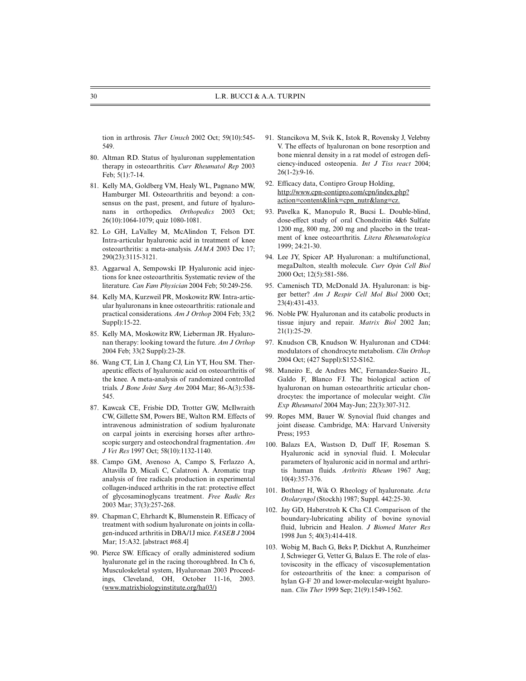tion in arthrosis. *Ther Umsch* 2002 Oct; 59(10):545- 549.

- 80. Altman RD. Status of hyaluronan supplementation therapy in osteoarthritis. *Curr Rheumatol Rep* 2003 Feb; 5(1):7-14.
- 81. Kelly MA, Goldberg VM, Healy WL, Pagnano MW, Hamburger MI. Osteoarthritis and beyond: a consensus on the past, present, and future of hyaluronans in orthopedics. *Orthopedics* 2003 Oct; 26(10):1064-1079; quiz 1080-1081.
- 82. Lo GH, LaValley M, McAlindon T, Felson DT. Intra-articular hyaluronic acid in treatment of knee osteoarthritis: a meta-analysis. *JAMA* 2003 Dec 17; 290(23):3115-3121.
- 83. Aggarwal A, Sempowski IP. Hyaluronic acid injections for knee osteoarthritis. Systematic review of the literature. *Can Fam Physician* 2004 Feb; 50:249-256.
- 84. Kelly MA, Kurzweil PR, Moskowitz RW. Intra-articular hyaluronans in knee osteoarthritis: rationale and practical considerations. *Am J Orthop* 2004 Feb; 33(2 Suppl):15-22.
- 85. Kelly MA, Moskowitz RW, Lieberman JR. Hyaluronan therapy: looking toward the future. *Am J Orthop* 2004 Feb; 33(2 Suppl):23-28.
- 86. Wang CT, Lin J, Chang CJ, Lin YT, Hou SM. Therapeutic effects of hyaluronic acid on osteoarthritis of the knee. A meta-analysis of randomized controlled trials. *J Bone Joint Surg Am* 2004 Mar; 86-A(3):538- 545.
- 87. Kawcak CE, Frisbie DD, Trotter GW, McIlwraith CW, Gillette SM, Powers BE, Walton RM. Effects of intravenous administration of sodium hyaluronate on carpal joints in exercising horses after arthroscopic surgery and osteochondral fragmentation. *Am J Vet Res* 1997 Oct; 58(10):1132-1140.
- 88. Campo GM, Avenoso A, Campo S, Ferlazzo A, Altavilla D, Micali C, Calatroni A. Aromatic trap analysis of free radicals production in experimental collagen-induced arthritis in the rat: protective effect of glycosaminoglycans treatment. *Free Radic Res* 2003 Mar; 37(3):257-268.
- 89. Chapman C, Ehrhardt K, Blumenstein R. Efficacy of treatment with sodium hyaluronate on joints in collagen-induced arthritis in DBA/1J mice. *FASEB J* 2004 Mar; 15:A32. [abstract #68.4]
- 90. Pierce SW. Efficacy of orally administered sodium hyaluronate gel in the racing thoroughbred. In Ch 6, Musculoskeletal system, Hyaluronan 2003 Proceedings, Cleveland, OH, October 11-16, 2003. (www.matrixbiologyinstitute.org/ha03/)
- 91. Stancikova M, Svik K, Istok R, Rovensky J, Velebny V. The effects of hyaluronan on bone resorption and bone mienral density in a rat model of estrogen deficiency-induced osteopenia. *Int J Tiss react* 2004; 26(1-2):9-16.
- 92. Efficacy data, Contipro Group Holding, http://www.cpn-contipro.com/cpn/index,php? action=content&link=cpn\_nutr&lang=cz.
- 93. Pavelka K, Manopulo R, Bucsi L. Double-blind, dose-effect study of oral Chondroitin 4&6 Sulfate 1200 mg, 800 mg, 200 mg and placebo in the treatment of knee osteoarthritis. *Litera Rheumatologica* 1999; 24:21-30.
- 94. Lee JY, Spicer AP. Hyaluronan: a multifunctional, megaDalton, stealth molecule. *Curr Opin Cell Biol* 2000 Oct; 12(5):581-586.
- 95. Camenisch TD, McDonald JA. Hyaluronan: is bigger better? *Am J Respir Cell Mol Biol* 2000 Oct; 23(4):431-433.
- 96. Noble PW. Hyaluronan and its catabolic products in tissue injury and repair. *Matrix Biol* 2002 Jan; 21(1):25-29.
- 97. Knudson CB, Knudson W. Hyaluronan and CD44: modulators of chondrocyte metabolism. *Clin Orthop* 2004 Oct; (427 Suppl):S152-S162.
- 98. Maneiro E, de Andres MC, Fernandez-Sueiro JL, Galdo F, Blanco FJ. The biological action of hyaluronan on human osteoarthritic articular chondrocytes: the importance of molecular weight. *Clin Exp Rheumatol* 2004 May-Jun; 22(3):307-312.
- 99. Ropes MM, Bauer W. Synovial fluid changes and joint disease. Cambridge, MA: Harvard University Press; 1953
- 100. Balazs EA, Wastson D, Duff IF, Roseman S. Hyaluronic acid in synovial fluid. I. Molecular parameters of hyaluronic acid in normal and arthritis human fluids. *Arthritis Rheum* 1967 Aug; 10(4):357-376.
- 101. Bothner H, Wik O. Rheology of hyaluronate. *Acta Otolaryngol* (Stockh) 1987; Suppl. 442:25-30.
- 102. Jay GD, Haberstroh K Cha CJ. Comparison of the boundary-lubricating ability of bovine synovial fluid, lubricin and Healon. *J Biomed Mater Res* 1998 Jun 5; 40(3):414-418.
- 103. Wobig M, Bach G, Beks P, Dickhut A, Runzheimer J, Schwieger G, Vetter G, Balazs E. The role of elastoviscosity in the efficacy of viscosuplementation for osteoarthritis of the knee: a comparison of hylan G-F 20 and lower-molecular-weight hyaluronan. *Clin Ther* 1999 Sep; 21(9):1549-1562.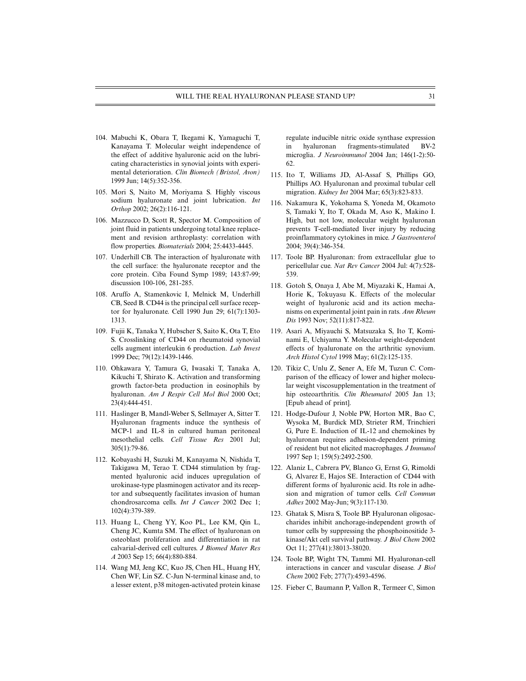- 104. Mabuchi K, Obara T, Ikegami K, Yamaguchi T, Kanayama T. Molecular weight independence of the effect of additive hyaluronic acid on the lubricating characteristics in synovial joints with experimental deterioration. *Clin Biomech (Bristol, Avon)* 1999 Jun; 14(5):352-356.
- 105. Mori S, Naito M, Moriyama S. Highly viscous sodium hyaluronate and joint lubrication. *Int Orthop* 2002; 26(2):116-121.
- 106. Mazzucco D, Scott R, Spector M. Composition of joint fluid in patients undergoing total knee replacement and revision arthroplasty: correlation with flow properties. *Biomaterials* 2004; 25:4433-4445.
- 107. Underhill CB. The interaction of hyaluronate with the cell surface: the hyaluronate receptor and the core protein. Ciba Found Symp 1989; 143:87-99; discussion 100-106, 281-285.
- 108. Aruffo A, Stamenkovic I, Melnick M, Underhill CB, Seed B. CD44 is the principal cell surface receptor for hyaluronate. Cell 1990 Jun 29; 61(7):1303- 1313.
- 109. Fujii K, Tanaka Y, Hubscher S, Saito K, Ota T, Eto S. Crosslinking of CD44 on rheumatoid synovial cells augment interleukin 6 production. *Lab Invest* 1999 Dec; 79(12):1439-1446.
- 110. Ohkawara Y, Tamura G, Iwasaki T, Tanaka A, Kikuchi T, Shirato K. Activation and transforming growth factor-beta production in eosinophils by hyaluronan. *Am J Respir Cell Mol Biol* 2000 Oct; 23(4):444-451.
- 111. Haslinger B, Mandl-Weber S, Sellmayer A, Sitter T. Hyaluronan fragments induce the synthesis of MCP-1 and IL-8 in cultured human peritoneal mesothelial cells. *Cell Tissue Res* 2001 Jul; 305(1):79-86.
- 112. Kobayashi H, Suzuki M, Kanayama N, Nishida T, Takigawa M, Terao T. CD44 stimulation by fragmented hyaluronic acid induces upregulation of urokinase-type plasminogen activator and its receptor and subsequently facilitates invasion of human chondrosarcoma cells. *Int J Cancer* 2002 Dec 1; 102(4):379-389.
- 113. Huang L, Cheng YY, Koo PL, Lee KM, Qin L, Cheng JC, Kumta SM. The effect of hyaluronan on osteoblast proliferation and differentiation in rat calvarial-derived cell cultures. *J Biomed Mater Res A* 2003 Sep 15; 66(4):880-884.
- 114. Wang MJ, Jeng KC, Kuo JS, Chen HL, Huang HY, Chen WF, Lin SZ. C-Jun N-terminal kinase and, to a lesser extent, p38 mitogen-activated protein kinase

regulate inducible nitric oxide synthase expression in hyaluronan fragments-stimulated BV-2 microglia. *J Neuroimmunol* 2004 Jan; 146(1-2):50- 62.

- 115. Ito T, Williams JD, Al-Assaf S, Phillips GO, Phillips AO. Hyaluronan and proximal tubular cell migration. *Kidney Int* 2004 Mar; 65(3):823-833.
- 116. Nakamura K, Yokohama S, Yoneda M, Okamoto S, Tamaki Y, Ito T, Okada M, Aso K, Makino I. High, but not low, molecular weight hyaluronan prevents T-cell-mediated liver injury by reducing proinflammatory cytokines in mice. *J Gastroenterol* 2004; 39(4):346-354.
- 117. Toole BP. Hyaluronan: from extracellular glue to pericellular cue. *Nat Rev Cancer* 2004 Jul: 4(7):528- 539.
- 118. Gotoh S, Onaya J, Abe M, Miyazaki K, Hamai A, Horie K, Tokuyasu K. Effects of the molecular weight of hyaluronic acid and its action mechanisms on experimental joint pain in rats. *Ann Rheum Dis* 1993 Nov; 52(11):817-822.
- 119. Asari A, Miyauchi S, Matsuzaka S, Ito T, Kominami E, Uchiyama Y. Molecular weight-dependent effects of hyaluronate on the arthritic synovium. *Arch Histol Cytol* 1998 May; 61(2):125-135.
- 120. Tikiz C, Unlu Z, Sener A, Efe M, Tuzun C. Comparison of the efficacy of lower and higher molecular weight viscosupplementation in the treatment of hip osteoarthritis. *Clin Rheumatol* 2005 Jan 13; [Epub ahead of print].
- 121. Hodge-Dufour J, Noble PW, Horton MR, Bao C, Wysoka M, Burdick MD, Strieter RM, Trinchieri G, Pure E. Induction of IL-12 and chemokines by hyaluronan requires adhesion-dependent priming of resident but not elicited macrophages. *J Immunol* 1997 Sep 1; 159(5):2492-2500.
- 122. Alaniz L, Cabrera PV, Blanco G, Ernst G, Rimoldi G, Alvarez E, Hajos SE. Interaction of CD44 with different forms of hyaluronic acid. Its role in adhesion and migration of tumor cells. *Cell Commun Adhes* 2002 May-Jun; 9(3):117-130.
- 123. Ghatak S, Misra S, Toole BP. Hyaluronan oligosaccharides inhibit anchorage-independent growth of tumor cells by suppressing the phosphoinositide 3 kinase/Akt cell survival pathway. *J Biol Chem* 2002 Oct 11; 277(41):38013-38020.
- 124. Toole BP, Wight TN, Tammi MI. Hyaluronan-cell interactions in cancer and vascular disease. *J Biol Chem* 2002 Feb; 277(7):4593-4596.
- 125. Fieber C, Baumann P, Vallon R, Termeer C, Simon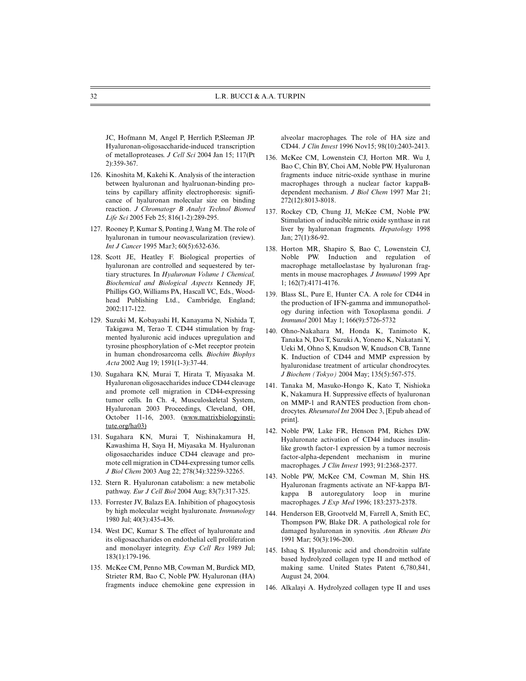JC, Hofmann M, Angel P, Herrlich P,Sleeman JP. Hyaluronan-oligosaccharide-induced transcription of metalloproteases. *J Cell Sci* 2004 Jan 15; 117(Pt 2):359-367.

- 126. Kinoshita M, Kakehi K. Analysis of the interaction between hyaluronan and hyalruonan-binding proteins by capillary affinity electrophoresis: significance of hyaluronan molecular size on binding reaction. *J Chromatogr B Analyt Technol Biomed Life Sci* 2005 Feb 25; 816(1-2):289-295.
- 127. Rooney P, Kumar S, Ponting J, Wang M. The role of hyaluronan in tumour neovascularization (review). *Int J Cancer* 1995 Mar3; 60(5):632-636.
- 128. Scott JE, Heatley F. Biological properties of hyaluronan are controlled and sequestered by tertiary structures. In *Hyaluronan Volume 1 Chemical, Biochemical and Biological Aspects* Kennedy JF, Phillips GO, Williams PA, Hascall VC, Eds., Woodhead Publishing Ltd., Cambridge, England; 2002:117-122.
- 129. Suzuki M, Kobayashi H, Kanayama N, Nishida T, Takigawa M, Terao T. CD44 stimulation by fragmented hyaluronic acid induces upregulation and tyrosine phosphorylation of c-Met receptor protein in human chondrosarcoma cells. *Biochim Biophys Acta* 2002 Aug 19; 1591(1-3):37-44.
- 130. Sugahara KN, Murai T, Hirata T, Miyasaka M. Hyaluronan oligosaccharides induce CD44 cleavage and promote cell migration in CD44-expressing tumor cells. In Ch. 4, Musculoskeletal System, Hyaluronan 2003 Proceedings, Cleveland, OH, October 11-16, 2003. (www.matrixbiologyinstitute.org/ha03)
- 131. Sugahara KN, Murai T, Nishinakamura H, Kawashima H, Saya H, Miyasaka M. Hyaluronan oligosaccharides induce CD44 cleavage and promote cell migration in CD44-expressing tumor cells. *J Biol Chem* 2003 Aug 22; 278(34):32259-32265.
- 132. Stern R. Hyaluronan catabolism: a new metabolic pathway. *Eur J Cell Biol* 2004 Aug; 83(7):317-325.
- 133. Forrester JV, Balazs EA. Inhibition of phagocytosis by high molecular weight hyaluronate. *Immunology* 1980 Jul; 40(3):435-436.
- 134. West DC, Kumar S. The effect of hyaluronate and its oligosaccharides on endothelial cell proliferation and monolayer integrity. *Exp Cell Res* 1989 Jul; 183(1):179-196.
- 135. McKee CM, Penno MB, Cowman M, Burdick MD, Strieter RM, Bao C, Noble PW. Hyaluronan (HA) fragments induce chemokine gene expression in

alveolar macrophages. The role of HA size and CD44. *J Clin Invest* 1996 Nov15; 98(10):2403-2413.

- 136. McKee CM, Lowenstein CJ, Horton MR. Wu J, Bao C, Chin BY, Choi AM, Noble PW. Hyaluronan fragments induce nitric-oxide synthase in murine macrophages through a nuclear factor kappaBdependent mechanism. *J Biol Chem* 1997 Mar 21; 272(12):8013-8018.
- 137. Rockey CD, Chung JJ, McKee CM, Noble PW. Stimulation of inducible nitric oxide synthase in rat liver by hyaluronan fragments. *Hepatology* 1998 Jan; 27(1):86-92.
- 138. Horton MR, Shapiro S, Bao C, Lowenstein CJ, Noble PW. Induction and regulation of macrophage metalloelastase by hyaluronan fragments in mouse macrophages. *J Immunol* 1999 Apr 1; 162(7):4171-4176.
- 139. Blass SL, Pure E, Hunter CA. A role for CD44 in the production of IFN-gamma and immunopathology during infection with Toxoplasma gondii. *J Immunol* 2001 May 1; 166(9):5726-5732
- 140. Ohno-Nakahara M, Honda K, Tanimoto K, Tanaka N, Doi T, Suzuki A, Yoneno K, Nakatani Y, Ueki M, Ohno S, Knudson W, Knudson CB, Tanne K. Induction of CD44 and MMP expression by hyaluronidase treatment of articular chondrocytes. *J Biochem (Tokyo)* 2004 May; 135(5):567-575.
- 141. Tanaka M, Masuko-Hongo K, Kato T, Nishioka K, Nakamura H. Suppressive effects of hyaluronan on MMP-1 and RANTES production from chondrocytes. *Rheumatol Int* 2004 Dec 3, [Epub ahead of print].
- 142. Noble PW, Lake FR, Henson PM, Riches DW. Hyaluronate activation of CD44 induces insulinlike growth factor-1 expression by a tumor necrosis factor-alpha-dependent mechanism in murine macrophages. *J Clin Invest* 1993; 91:2368-2377.
- 143. Noble PW, McKee CM, Cowman M, Shin HS. Hyaluronan fragments activate an NF-kappa B/Ikappa B autoregulatory loop in murine macrophages. *J Exp Med* 1996; 183:2373-2378.
- 144. Henderson EB, Grootveld M, Farrell A, Smith EC, Thompson PW, Blake DR. A pathological role for damaged hyaluronan in synovitis. *Ann Rheum Dis* 1991 Mar; 50(3):196-200.
- 145. Ishaq S. Hyaluronic acid and chondroitin sulfate based hydrolyzed collagen type II and method of making same. United States Patent 6,780,841, August 24, 2004.
- 146. Alkalayi A. Hydrolyzed collagen type II and uses